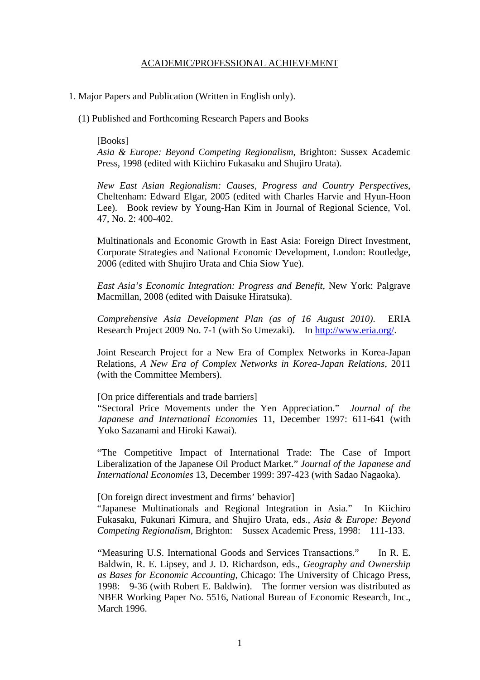1. Major Papers and Publication (Written in English only).

(1) Published and Forthcoming Research Papers and Books

[Books] *Asia & Europe: Beyond Competing Regionalism*, Brighton: Sussex Academic Press, 1998 (edited with Kiichiro Fukasaku and Shujiro Urata).

*New East Asian Regionalism: Causes, Progress and Country Perspectives*, Cheltenham: Edward Elgar, 2005 (edited with Charles Harvie and Hyun-Hoon Lee). Book review by Young-Han Kim in Journal of Regional Science, Vol. 47, No. 2: 400-402.

Multinationals and Economic Growth in East Asia: Foreign Direct Investment, Corporate Strategies and National Economic Development, London: Routledge, 2006 (edited with Shujiro Urata and Chia Siow Yue).

*East Asia's Economic Integration: Progress and Benefit*, New York: Palgrave Macmillan, 2008 (edited with Daisuke Hiratsuka).

*Comprehensive Asia Development Plan (as of 16 August 2010)*. ERIA Research Project 2009 No. 7-1 (with So Umezaki). In http://www.eria.org/.

Joint Research Project for a New Era of Complex Networks in Korea-Japan Relations, *A New Era of Complex Networks in Korea-Japan Relations*, 2011 (with the Committee Members).

#### [On price differentials and trade barriers]

"Sectoral Price Movements under the Yen Appreciation." *Journal of the Japanese and International Economies* 11, December 1997: 611-641 (with Yoko Sazanami and Hiroki Kawai).

"The Competitive Impact of International Trade: The Case of Import Liberalization of the Japanese Oil Product Market." *Journal of the Japanese and International Economies* 13, December 1999: 397-423 (with Sadao Nagaoka).

[On foreign direct investment and firms' behavior]

"Japanese Multinationals and Regional Integration in Asia." In Kiichiro Fukasaku, Fukunari Kimura, and Shujiro Urata, eds., *Asia & Europe: Beyond Competing Regionalism*, Brighton: Sussex Academic Press, 1998: 111-133.

"Measuring U.S. International Goods and Services Transactions." In R. E. Baldwin, R. E. Lipsey, and J. D. Richardson, eds., *Geography and Ownership as Bases for Economic Accounting*, Chicago: The University of Chicago Press, 1998: 9-36 (with Robert E. Baldwin). The former version was distributed as NBER Working Paper No. 5516, National Bureau of Economic Research, Inc., March 1996.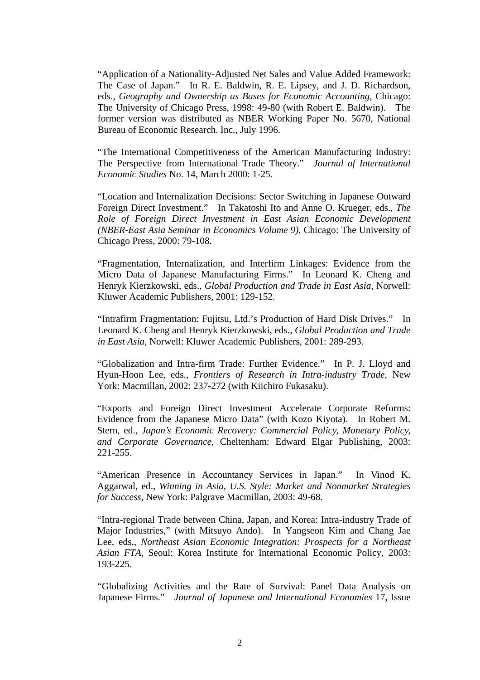"Application of a Nationality-Adjusted Net Sales and Value Added Framework: The Case of Japan." In R. E. Baldwin, R. E. Lipsey, and J. D. Richardson, eds., *Geography and Ownership as Bases for Economic Accounting*, Chicago: The University of Chicago Press, 1998: 49-80 (with Robert E. Baldwin). The former version was distributed as NBER Working Paper No. 5670, National Bureau of Economic Research. Inc., July 1996.

"The International Competitiveness of the American Manufacturing Industry: The Perspective from International Trade Theory." *Journal of International Economic Studies* No. 14, March 2000: 1-25.

"Location and Internalization Decisions: Sector Switching in Japanese Outward Foreign Direct Investment." In Takatoshi Ito and Anne O. Krueger, eds., *The Role of Foreign Direct Investment in East Asian Economic Development (NBER-East Asia Seminar in Economics Volume 9)*, Chicago: The University of Chicago Press, 2000: 79-108.

"Fragmentation, Internalization, and Interfirm Linkages: Evidence from the Micro Data of Japanese Manufacturing Firms." In Leonard K. Cheng and Henryk Kierzkowski, eds., *Global Production and Trade in East Asia*, Norwell: Kluwer Academic Publishers, 2001: 129-152.

"Intrafirm Fragmentation: Fujitsu, Ltd.'s Production of Hard Disk Drives." In Leonard K. Cheng and Henryk Kierzkowski, eds., *Global Production and Trade in East Asia*, Norwell: Kluwer Academic Publishers, 2001: 289-293.

"Globalization and Intra-firm Trade: Further Evidence." In P. J. Lloyd and Hyun-Hoon Lee, eds., *Frontiers of Research in Intra-industry Trade*, New York: Macmillan, 2002: 237-272 (with Kiichiro Fukasaku).

"Exports and Foreign Direct Investment Accelerate Corporate Reforms: Evidence from the Japanese Micro Data" (with Kozo Kiyota). In Robert M. Stern, ed., *Japan's Economic Recovery: Commercial Policy, Monetary Policy, and Corporate Governance*, Cheltenham: Edward Elgar Publishing, 2003: 221-255.

"American Presence in Accountancy Services in Japan." In Vinod K. Aggarwal, ed., *Winning in Asia, U.S. Style: Market and Nonmarket Strategies for Success*, New York: Palgrave Macmillan, 2003: 49-68.

"Intra-regional Trade between China, Japan, and Korea: Intra-industry Trade of Major Industries," (with Mitsuyo Ando). In Yangseon Kim and Chang Jae Lee, eds., *Northeast Asian Economic Integration: Prospects for a Northeast Asian FTA*, Seoul: Korea Institute for International Economic Policy, 2003: 193-225.

"Globalizing Activities and the Rate of Survival: Panel Data Analysis on Japanese Firms." *Journal of Japanese and International Economies* 17, Issue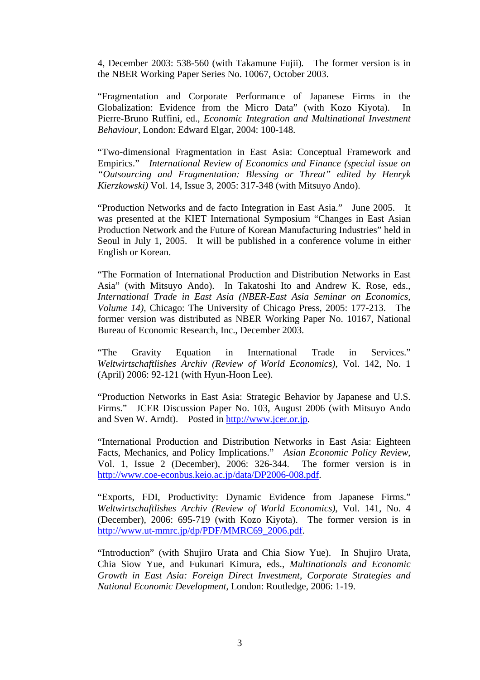4, December 2003: 538-560 (with Takamune Fujii)*.* The former version is in the NBER Working Paper Series No. 10067, October 2003.

"Fragmentation and Corporate Performance of Japanese Firms in the Globalization: Evidence from the Micro Data" (with Kozo Kiyota). In Pierre-Bruno Ruffini, ed., *Economic Integration and Multinational Investment Behaviour*, London: Edward Elgar, 2004: 100-148.

"Two-dimensional Fragmentation in East Asia: Conceptual Framework and Empirics." *International Review of Economics and Finance (special issue on "Outsourcing and Fragmentation: Blessing or Threat" edited by Henryk Kierzkowski)* Vol. 14, Issue 3, 2005: 317-348 (with Mitsuyo Ando).

"Production Networks and de facto Integration in East Asia." June 2005. It was presented at the KIET International Symposium "Changes in East Asian Production Network and the Future of Korean Manufacturing Industries" held in Seoul in July 1, 2005. It will be published in a conference volume in either English or Korean.

"The Formation of International Production and Distribution Networks in East Asia" (with Mitsuyo Ando). In Takatoshi Ito and Andrew K. Rose, eds., *International Trade in East Asia (NBER-East Asia Seminar on Economics, Volume 14)*, Chicago: The University of Chicago Press, 2005: 177-213. The former version was distributed as NBER Working Paper No. 10167, National Bureau of Economic Research, Inc., December 2003.

"The Gravity Equation in International Trade in Services." *Weltwirtschaftlishes Archiv (Review of World Economics)*, Vol. 142, No. 1 (April) 2006: 92-121 (with Hyun-Hoon Lee).

"Production Networks in East Asia: Strategic Behavior by Japanese and U.S. Firms." JCER Discussion Paper No. 103, August 2006 (with Mitsuyo Ando and Sven W. Arndt). Posted in http://www.jcer.or.jp.

"International Production and Distribution Networks in East Asia: Eighteen Facts, Mechanics, and Policy Implications." *Asian Economic Policy Review*, Vol. 1, Issue 2 (December), 2006: 326-344. The former version is in http://www.coe-econbus.keio.ac.jp/data/DP2006-008.pdf.

"Exports, FDI, Productivity: Dynamic Evidence from Japanese Firms." *Weltwirtschaftlishes Archiv (Review of World Economics)*, Vol. 141, No. 4 (December), 2006: 695-719 (with Kozo Kiyota). The former version is in http://www.ut-mmrc.jp/dp/PDF/MMRC69\_2006.pdf.

"Introduction" (with Shujiro Urata and Chia Siow Yue). In Shujiro Urata, Chia Siow Yue, and Fukunari Kimura, eds., *Multinationals and Economic Growth in East Asia: Foreign Direct Investment, Corporate Strategies and National Economic Development*, London: Routledge, 2006: 1-19.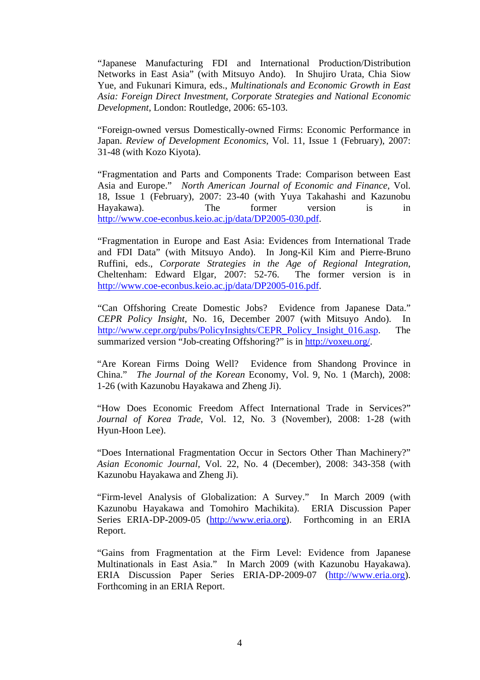"Japanese Manufacturing FDI and International Production/Distribution Networks in East Asia" (with Mitsuyo Ando). In Shujiro Urata, Chia Siow Yue, and Fukunari Kimura, eds., *Multinationals and Economic Growth in East Asia: Foreign Direct Investment, Corporate Strategies and National Economic Development*, London: Routledge, 2006: 65-103.

"Foreign-owned versus Domestically-owned Firms: Economic Performance in Japan. *Review of Development Economics*, Vol. 11, Issue 1 (February), 2007: 31-48 (with Kozo Kiyota).

"Fragmentation and Parts and Components Trade: Comparison between East Asia and Europe." *North American Journal of Economic and Finance*, Vol. 18, Issue 1 (February), 2007: 23-40 (with Yuya Takahashi and Kazunobu Hayakawa). The former version is in http://www.coe-econbus.keio.ac.jp/data/DP2005-030.pdf.

"Fragmentation in Europe and East Asia: Evidences from International Trade and FDI Data" (with Mitsuyo Ando). In Jong-Kil Kim and Pierre-Bruno Ruffini, eds., *Corporate Strategies in the Age of Regional Integration*, Cheltenham: Edward Elgar, 2007: 52-76. The former version is in http://www.coe-econbus.keio.ac.jp/data/DP2005-016.pdf.

"Can Offshoring Create Domestic Jobs? Evidence from Japanese Data." *CEPR Policy Insight*, No. 16, December 2007 (with Mitsuyo Ando). In http://www.cepr.org/pubs/PolicyInsights/CEPR\_Policy\_Insight\_016.asp. The summarized version "Job-creating Offshoring?" is in http://voxeu.org/.

"Are Korean Firms Doing Well? Evidence from Shandong Province in China." *The Journal of the Korean* Economy, Vol. 9, No. 1 (March), 2008: 1-26 (with Kazunobu Hayakawa and Zheng Ji).

"How Does Economic Freedom Affect International Trade in Services?" *Journal of Korea Trade*, Vol. 12, No. 3 (November), 2008: 1-28 (with Hyun-Hoon Lee).

"Does International Fragmentation Occur in Sectors Other Than Machinery?" *Asian Economic Journal*, Vol. 22, No. 4 (December), 2008: 343-358 (with Kazunobu Hayakawa and Zheng Ji).

"Firm-level Analysis of Globalization: A Survey." In March 2009 (with Kazunobu Hayakawa and Tomohiro Machikita). ERIA Discussion Paper Series ERIA-DP-2009-05 (http://www.eria.org). Forthcoming in an ERIA Report.

"Gains from Fragmentation at the Firm Level: Evidence from Japanese Multinationals in East Asia." In March 2009 (with Kazunobu Hayakawa). ERIA Discussion Paper Series ERIA-DP-2009-07 (http://www.eria.org). Forthcoming in an ERIA Report.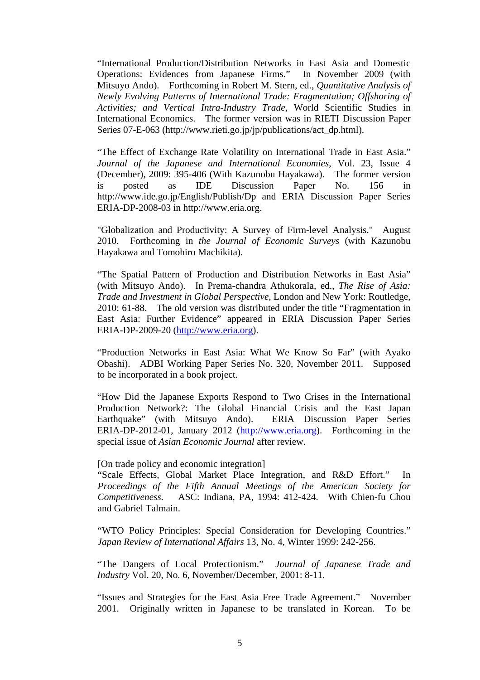"International Production/Distribution Networks in East Asia and Domestic Operations: Evidences from Japanese Firms." In November 2009 (with Mitsuyo Ando). Forthcoming in Robert M. Stern, ed., *Quantitative Analysis of Newly Evolving Patterns of International Trade: Fragmentation; Offshoring of Activities; and Vertical Intra-Industry Trade*, World Scientific Studies in International Economics. The former version was in RIETI Discussion Paper Series 07-E-063 (http://www.rieti.go.jp/jp/publications/act\_dp.html).

"The Effect of Exchange Rate Volatility on International Trade in East Asia." *Journal of the Japanese and International Economies*, Vol. 23, Issue 4 (December), 2009: 395-406 (With Kazunobu Hayakawa). The former version is posted as IDE Discussion Paper No. 156 in http://www.ide.go.jp/English/Publish/Dp and ERIA Discussion Paper Series ERIA-DP-2008-03 in http://www.eria.org.

"Globalization and Productivity: A Survey of Firm-level Analysis." August 2010. Forthcoming in *the Journal of Economic Surveys* (with Kazunobu Hayakawa and Tomohiro Machikita).

"The Spatial Pattern of Production and Distribution Networks in East Asia" (with Mitsuyo Ando). In Prema-chandra Athukorala, ed., *The Rise of Asia: Trade and Investment in Global Perspective*, London and New York: Routledge, 2010: 61-88. The old version was distributed under the title "Fragmentation in East Asia: Further Evidence" appeared in ERIA Discussion Paper Series ERIA-DP-2009-20 (http://www.eria.org).

"Production Networks in East Asia: What We Know So Far" (with Ayako Obashi). ADBI Working Paper Series No. 320, November 2011. Supposed to be incorporated in a book project.

"How Did the Japanese Exports Respond to Two Crises in the International Production Network?: The Global Financial Crisis and the East Japan Earthquake" (with Mitsuyo Ando). ERIA Discussion Paper Series ERIA-DP-2012-01, January 2012 (http://www.eria.org). Forthcoming in the special issue of *Asian Economic Journal* after review.

#### [On trade policy and economic integration]

"Scale Effects, Global Market Place Integration, and R&D Effort." In *Proceedings of the Fifth Annual Meetings of the American Society for Competitiveness*. ASC: Indiana, PA, 1994: 412-424. With Chien-fu Chou and Gabriel Talmain.

"WTO Policy Principles: Special Consideration for Developing Countries." *Japan Review of International Affairs* 13, No. 4, Winter 1999: 242-256.

"The Dangers of Local Protectionism." *Journal of Japanese Trade and Industry* Vol. 20, No. 6, November/December, 2001: 8-11.

"Issues and Strategies for the East Asia Free Trade Agreement." November 2001. Originally written in Japanese to be translated in Korean. To be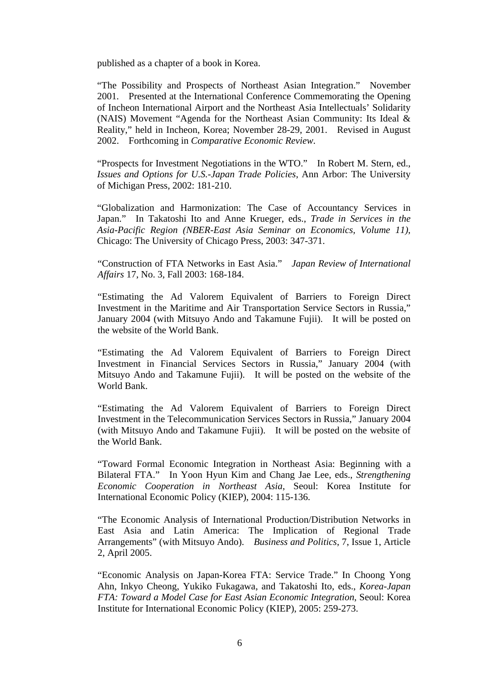published as a chapter of a book in Korea.

"The Possibility and Prospects of Northeast Asian Integration." November 2001. Presented at the International Conference Commemorating the Opening of Incheon International Airport and the Northeast Asia Intellectuals' Solidarity (NAIS) Movement "Agenda for the Northeast Asian Community: Its Ideal & Reality," held in Incheon, Korea; November 28-29, 2001. Revised in August 2002. Forthcoming in *Comparative Economic Review*.

"Prospects for Investment Negotiations in the WTO." In Robert M. Stern, ed., *Issues and Options for U.S.-Japan Trade Policies*, Ann Arbor: The University of Michigan Press, 2002: 181-210.

"Globalization and Harmonization: The Case of Accountancy Services in Japan." In Takatoshi Ito and Anne Krueger, eds., *Trade in Services in the Asia-Pacific Region (NBER-East Asia Seminar on Economics, Volume 11)*, Chicago: The University of Chicago Press, 2003: 347-371.

"Construction of FTA Networks in East Asia." *Japan Review of International Affairs* 17, No. 3, Fall 2003: 168-184.

"Estimating the Ad Valorem Equivalent of Barriers to Foreign Direct Investment in the Maritime and Air Transportation Service Sectors in Russia," January 2004 (with Mitsuyo Ando and Takamune Fujii). It will be posted on the website of the World Bank.

"Estimating the Ad Valorem Equivalent of Barriers to Foreign Direct Investment in Financial Services Sectors in Russia," January 2004 (with Mitsuyo Ando and Takamune Fujii). It will be posted on the website of the World Bank.

"Estimating the Ad Valorem Equivalent of Barriers to Foreign Direct Investment in the Telecommunication Services Sectors in Russia," January 2004 (with Mitsuyo Ando and Takamune Fujii). It will be posted on the website of the World Bank.

"Toward Formal Economic Integration in Northeast Asia: Beginning with a Bilateral FTA." In Yoon Hyun Kim and Chang Jae Lee, eds., *Strengthening Economic Cooperation in Northeast Asia*, Seoul: Korea Institute for International Economic Policy (KIEP), 2004: 115-136.

"The Economic Analysis of International Production/Distribution Networks in East Asia and Latin America: The Implication of Regional Trade Arrangements" (with Mitsuyo Ando). *Business and Politics*, 7, Issue 1, Article 2, April 2005.

"Economic Analysis on Japan-Korea FTA: Service Trade." In Choong Yong Ahn, Inkyo Cheong, Yukiko Fukagawa, and Takatoshi Ito, eds., *Korea-Japan FTA: Toward a Model Case for East Asian Economic Integration*, Seoul: Korea Institute for International Economic Policy (KIEP), 2005: 259-273.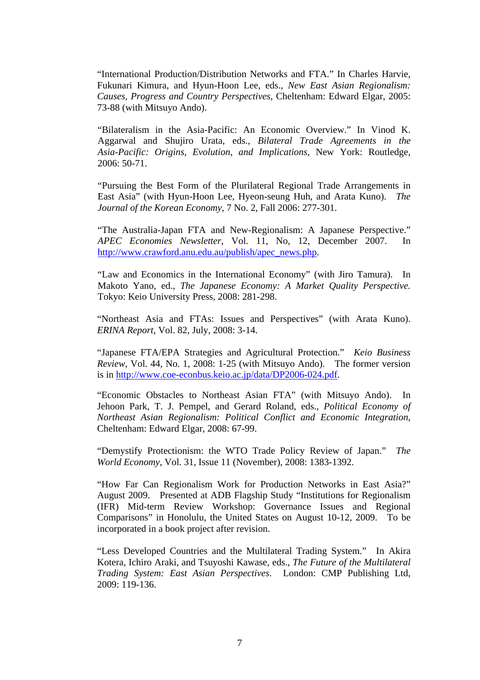"International Production/Distribution Networks and FTA." In Charles Harvie, Fukunari Kimura, and Hyun-Hoon Lee, eds., *New East Asian Regionalism: Causes, Progress and Country Perspectives*, Cheltenham: Edward Elgar, 2005: 73-88 (with Mitsuyo Ando).

"Bilateralism in the Asia-Pacific: An Economic Overview." In Vinod K. Aggarwal and Shujiro Urata, eds., *Bilateral Trade Agreements in the Asia-Pacific: Origins, Evolution, and Implications*, New York: Routledge, 2006: 50-71.

"Pursuing the Best Form of the Plurilateral Regional Trade Arrangements in East Asia" (with Hyun-Hoon Lee, Hyeon-seung Huh, and Arata Kuno). *The Journal of the Korean Economy*, 7 No. 2, Fall 2006: 277-301.

"The Australia-Japan FTA and New-Regionalism: A Japanese Perspective." *APEC Economies Newsletter*, Vol. 11, No, 12, December 2007. In http://www.crawford.anu.edu.au/publish/apec\_news.php.

"Law and Economics in the International Economy" (with Jiro Tamura). In Makoto Yano, ed., *The Japanese Economy: A Market Quality Perspective.*  Tokyo: Keio University Press, 2008: 281-298.

"Northeast Asia and FTAs: Issues and Perspectives" (with Arata Kuno). *ERINA Report*, Vol. 82, July, 2008: 3-14.

"Japanese FTA/EPA Strategies and Agricultural Protection." *Keio Business Review*, Vol. 44, No. 1, 2008: 1-25 (with Mitsuyo Ando). The former version is in http://www.coe-econbus.keio.ac.jp/data/DP2006-024.pdf.

"Economic Obstacles to Northeast Asian FTA" (with Mitsuyo Ando). In Jehoon Park, T. J. Pempel, and Gerard Roland, eds., *Political Economy of Northeast Asian Regionalism: Political Conflict and Economic Integration*, Cheltenham: Edward Elgar, 2008: 67-99.

"Demystify Protectionism: the WTO Trade Policy Review of Japan." *The World Economy*, Vol. 31, Issue 11 (November), 2008: 1383-1392.

"How Far Can Regionalism Work for Production Networks in East Asia?" August 2009. Presented at ADB Flagship Study "Institutions for Regionalism (IFR) Mid-term Review Workshop: Governance Issues and Regional Comparisons" in Honolulu, the United States on August 10-12, 2009. To be incorporated in a book project after revision.

"Less Developed Countries and the Multilateral Trading System." In Akira Kotera, Ichiro Araki, and Tsuyoshi Kawase, eds., *The Future of the Multilateral Trading System: East Asian Perspectives*. London: CMP Publishing Ltd, 2009: 119-136.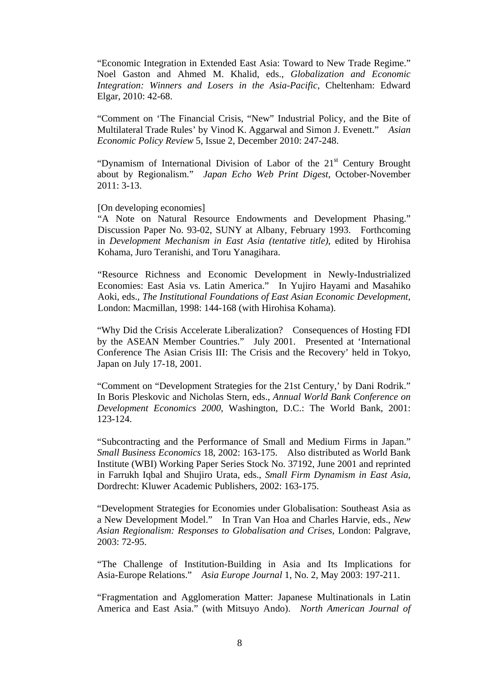"Economic Integration in Extended East Asia: Toward to New Trade Regime." Noel Gaston and Ahmed M. Khalid, eds., *Globalization and Economic Integration: Winners and Losers in the Asia-Pacific*, Cheltenham: Edward Elgar, 2010: 42-68.

"Comment on 'The Financial Crisis, "New" Industrial Policy, and the Bite of Multilateral Trade Rules' by Vinod K. Aggarwal and Simon J. Evenett." *Asian Economic Policy Review* 5, Issue 2, December 2010: 247-248.

"Dynamism of International Division of Labor of the  $21<sup>st</sup>$  Century Brought about by Regionalism." *Japan Echo Web Print Digest*, October-November 2011: 3-13.

[On developing economies]

"A Note on Natural Resource Endowments and Development Phasing." Discussion Paper No. 93-02, SUNY at Albany, February 1993. Forthcoming in *Development Mechanism in East Asia (tentative title)*, edited by Hirohisa Kohama, Juro Teranishi, and Toru Yanagihara.

"Resource Richness and Economic Development in Newly-Industrialized Economies: East Asia vs. Latin America." In Yujiro Hayami and Masahiko Aoki, eds., *The Institutional Foundations of East Asian Economic Development*, London: Macmillan, 1998: 144-168 (with Hirohisa Kohama).

"Why Did the Crisis Accelerate Liberalization? Consequences of Hosting FDI by the ASEAN Member Countries." July 2001. Presented at 'International Conference The Asian Crisis III: The Crisis and the Recovery' held in Tokyo, Japan on July 17-18, 2001.

"Comment on "Development Strategies for the 21st Century,' by Dani Rodrik." In Boris Pleskovic and Nicholas Stern, eds., *Annual World Bank Conference on Development Economics 2000*, Washington, D.C.: The World Bank, 2001: 123-124.

"Subcontracting and the Performance of Small and Medium Firms in Japan." *Small Business Economics* 18, 2002: 163-175. Also distributed as World Bank Institute (WBI) Working Paper Series Stock No. 37192, June 2001 and reprinted in Farrukh Iqbal and Shujiro Urata, eds., *Small Firm Dynamism in East Asia*, Dordrecht: Kluwer Academic Publishers, 2002: 163-175.

"Development Strategies for Economies under Globalisation: Southeast Asia as a New Development Model." In Tran Van Hoa and Charles Harvie, eds., *New Asian Regionalism: Responses to Globalisation and Crises*, London: Palgrave, 2003: 72-95.

"The Challenge of Institution-Building in Asia and Its Implications for Asia-Europe Relations." *Asia Europe Journal* 1, No. 2, May 2003: 197-211.

"Fragmentation and Agglomeration Matter: Japanese Multinationals in Latin America and East Asia." (with Mitsuyo Ando). *North American Journal of*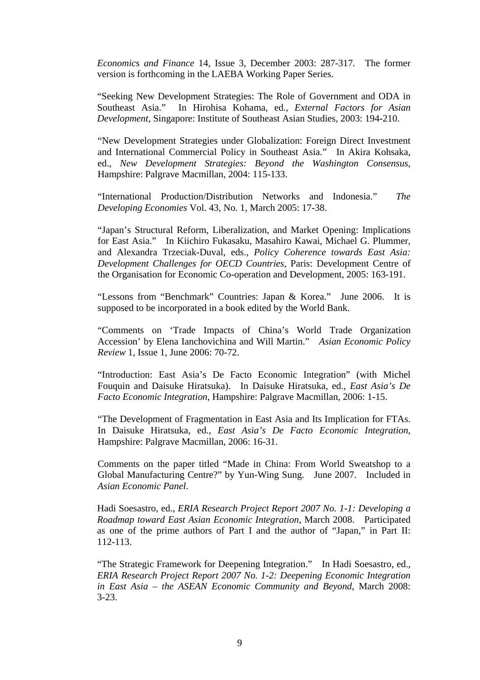*Economics and Finance* 14, Issue 3, December 2003: 287-317*.* The former version is forthcoming in the LAEBA Working Paper Series.

"Seeking New Development Strategies: The Role of Government and ODA in Southeast Asia." In Hirohisa Kohama, ed., *External Factors for Asian Development*, Singapore: Institute of Southeast Asian Studies, 2003: 194-210.

"New Development Strategies under Globalization: Foreign Direct Investment and International Commercial Policy in Southeast Asia." In Akira Kohsaka, ed., *New Development Strategies: Beyond the Washington Consensus*, Hampshire: Palgrave Macmillan, 2004: 115-133.

"International Production/Distribution Networks and Indonesia." *The Developing Economies* Vol. 43, No. 1, March 2005: 17-38.

"Japan's Structural Reform, Liberalization, and Market Opening: Implications for East Asia." In Kiichiro Fukasaku, Masahiro Kawai, Michael G. Plummer, and Alexandra Trzeciak-Duval, eds., *Policy Coherence towards East Asia: Development Challenges for OECD Countries*, Paris: Development Centre of the Organisation for Economic Co-operation and Development, 2005: 163-191.

"Lessons from "Benchmark" Countries: Japan & Korea." June 2006. It is supposed to be incorporated in a book edited by the World Bank.

"Comments on 'Trade Impacts of China's World Trade Organization Accession' by Elena Ianchovichina and Will Martin." *Asian Economic Policy Review* 1, Issue 1, June 2006: 70-72.

"Introduction: East Asia's De Facto Economic Integration" (with Michel Fouquin and Daisuke Hiratsuka). In Daisuke Hiratsuka, ed., *East Asia's De Facto Economic Integration*, Hampshire: Palgrave Macmillan, 2006: 1-15.

"The Development of Fragmentation in East Asia and Its Implication for FTAs. In Daisuke Hiratsuka, ed., *East Asia's De Facto Economic Integration*, Hampshire: Palgrave Macmillan, 2006: 16-31.

Comments on the paper titled "Made in China: From World Sweatshop to a Global Manufacturing Centre?" by Yun-Wing Sung. June 2007. Included in *Asian Economic Panel*.

Hadi Soesastro, ed., *ERIA Research Project Report 2007 No. 1-1: Developing a Roadmap toward East Asian Economic Integration*, March 2008. Participated as one of the prime authors of Part I and the author of "Japan," in Part II: 112-113.

"The Strategic Framework for Deepening Integration." In Hadi Soesastro, ed., *ERIA Research Project Report 2007 No. 1-2: Deepening Economic Integration in East Asia – the ASEAN Economic Community and Beyond*, March 2008: 3-23.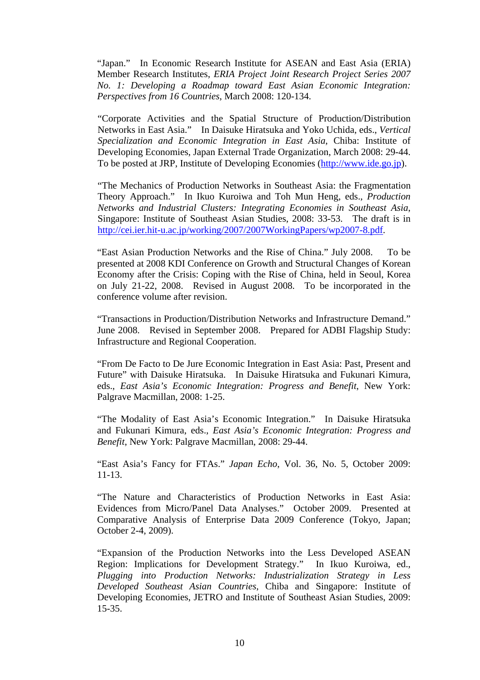"Japan." In Economic Research Institute for ASEAN and East Asia (ERIA) Member Research Institutes, *ERIA Project Joint Research Project Series 2007 No. 1: Developing a Roadmap toward East Asian Economic Integration: Perspectives from 16 Countries*, March 2008: 120-134.

"Corporate Activities and the Spatial Structure of Production/Distribution Networks in East Asia." In Daisuke Hiratsuka and Yoko Uchida, eds., *Vertical Specialization and Economic Integration in East Asia*, Chiba: Institute of Developing Economies, Japan External Trade Organization, March 2008: 29-44. To be posted at JRP, Institute of Developing Economies (http://www.ide.go.jp).

"The Mechanics of Production Networks in Southeast Asia: the Fragmentation Theory Approach." In Ikuo Kuroiwa and Toh Mun Heng, eds., *Production Networks and Industrial Clusters: Integrating Economies in Southeast Asia*, Singapore: Institute of Southeast Asian Studies, 2008: 33-53. The draft is in http://cei.ier.hit-u.ac.jp/working/2007/2007WorkingPapers/wp2007-8.pdf.

"East Asian Production Networks and the Rise of China." July 2008. To be presented at 2008 KDI Conference on Growth and Structural Changes of Korean Economy after the Crisis: Coping with the Rise of China, held in Seoul, Korea on July 21-22, 2008. Revised in August 2008. To be incorporated in the conference volume after revision.

"Transactions in Production/Distribution Networks and Infrastructure Demand." June 2008. Revised in September 2008. Prepared for ADBI Flagship Study: Infrastructure and Regional Cooperation.

"From De Facto to De Jure Economic Integration in East Asia: Past, Present and Future" with Daisuke Hiratsuka. In Daisuke Hiratsuka and Fukunari Kimura, eds., *East Asia's Economic Integration: Progress and Benefit*, New York: Palgrave Macmillan, 2008: 1-25.

"The Modality of East Asia's Economic Integration." In Daisuke Hiratsuka and Fukunari Kimura, eds., *East Asia's Economic Integration: Progress and Benefit*, New York: Palgrave Macmillan, 2008: 29-44.

"East Asia's Fancy for FTAs." *Japan Echo*, Vol. 36, No. 5, October 2009: 11-13.

"The Nature and Characteristics of Production Networks in East Asia: Evidences from Micro/Panel Data Analyses." October 2009. Presented at Comparative Analysis of Enterprise Data 2009 Conference (Tokyo, Japan; October 2-4, 2009).

"Expansion of the Production Networks into the Less Developed ASEAN Region: Implications for Development Strategy." In Ikuo Kuroiwa, ed., *Plugging into Production Networks: Industrialization Strategy in Less Developed Southeast Asian Countries*, Chiba and Singapore: Institute of Developing Economies, JETRO and Institute of Southeast Asian Studies, 2009: 15-35.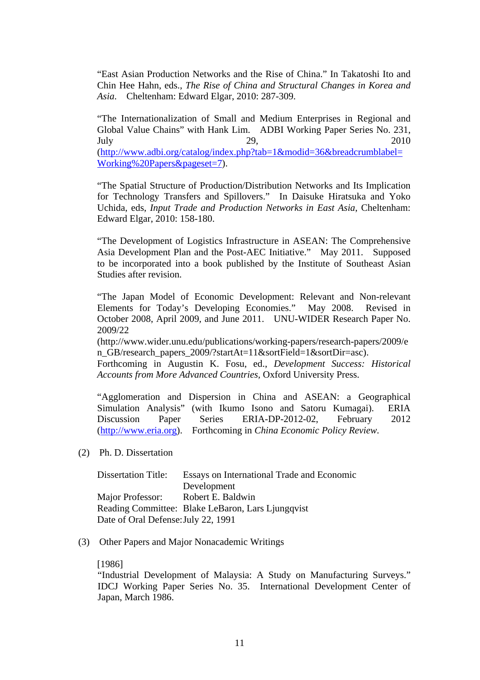"East Asian Production Networks and the Rise of China." In Takatoshi Ito and Chin Hee Hahn, eds., *The Rise of China and Structural Changes in Korea and Asia*. Cheltenham: Edward Elgar, 2010: 287-309.

"The Internationalization of Small and Medium Enterprises in Regional and Global Value Chains" with Hank Lim. ADBI Working Paper Series No. 231, July 29, 2010 (http://www.adbi.org/catalog/index.php?tab=1&modid=36&breadcrumblabel= Working%20Papers&pageset=7).

"The Spatial Structure of Production/Distribution Networks and Its Implication for Technology Transfers and Spillovers." In Daisuke Hiratsuka and Yoko Uchida, eds, *Input Trade and Production Networks in East Asia*, Cheltenham: Edward Elgar, 2010: 158-180.

"The Development of Logistics Infrastructure in ASEAN: The Comprehensive Asia Development Plan and the Post-AEC Initiative." May 2011. Supposed to be incorporated into a book published by the Institute of Southeast Asian Studies after revision.

"The Japan Model of Economic Development: Relevant and Non-relevant Elements for Today's Developing Economies." May 2008. Revised in October 2008, April 2009, and June 2011. UNU-WIDER Research Paper No. 2009/22

(http://www.wider.unu.edu/publications/working-papers/research-papers/2009/e n GB/research papers 2009/?startAt=11&sortField=1&sortDir=asc).

Forthcoming in Augustin K. Fosu, ed., *Development Success: Historical Accounts from More Advanced Countries,* Oxford University Press.

"Agglomeration and Dispersion in China and ASEAN: a Geographical Simulation Analysis" (with Ikumo Isono and Satoru Kumagai). ERIA Discussion Paper Series ERIA-DP-2012-02, February 2012 (http://www.eria.org). Forthcoming in *China Economic Policy Review*.

(2) Ph. D. Dissertation

| <b>Dissertation Title:</b>          | Essays on International Trade and Economic        |
|-------------------------------------|---------------------------------------------------|
|                                     | Development                                       |
| Major Professor:                    | Robert E. Baldwin                                 |
|                                     | Reading Committee: Blake LeBaron, Lars Ljungqvist |
| Date of Oral Defense: July 22, 1991 |                                                   |

(3) Other Papers and Major Nonacademic Writings

#### [1986]

"Industrial Development of Malaysia: A Study on Manufacturing Surveys." IDCJ Working Paper Series No. 35. International Development Center of Japan, March 1986.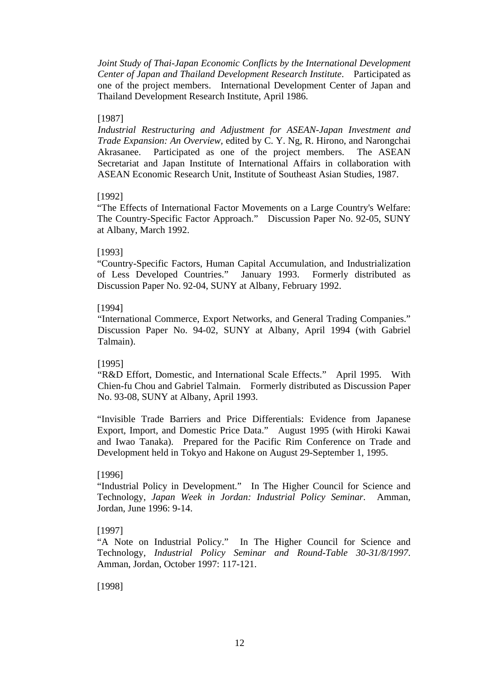*Joint Study of Thai-Japan Economic Conflicts by the International Development Center of Japan and Thailand Development Research Institute*. Participated as one of the project members. International Development Center of Japan and Thailand Development Research Institute, April 1986.

## [1987]

*Industrial Restructuring and Adjustment for ASEAN-Japan Investment and Trade Expansion: An Overview,* edited by C. Y. Ng, R. Hirono, and Narongchai Akrasanee. Participated as one of the project members. The ASEAN Secretariat and Japan Institute of International Affairs in collaboration with ASEAN Economic Research Unit, Institute of Southeast Asian Studies, 1987.

## [1992]

"The Effects of International Factor Movements on a Large Country's Welfare: The Country-Specific Factor Approach." Discussion Paper No. 92-05, SUNY at Albany, March 1992.

## [1993]

"Country-Specific Factors, Human Capital Accumulation, and Industrialization of Less Developed Countries." January 1993. Formerly distributed as Discussion Paper No. 92-04, SUNY at Albany, February 1992.

## [1994]

"International Commerce, Export Networks, and General Trading Companies." Discussion Paper No. 94-02, SUNY at Albany, April 1994 (with Gabriel Talmain).

# [1995]

"R&D Effort, Domestic, and International Scale Effects." April 1995. With Chien-fu Chou and Gabriel Talmain. Formerly distributed as Discussion Paper No. 93-08, SUNY at Albany, April 1993.

"Invisible Trade Barriers and Price Differentials: Evidence from Japanese Export, Import, and Domestic Price Data." August 1995 (with Hiroki Kawai and Iwao Tanaka). Prepared for the Pacific Rim Conference on Trade and Development held in Tokyo and Hakone on August 29-September 1, 1995.

# [1996]

"Industrial Policy in Development." In The Higher Council for Science and Technology, *Japan Week in Jordan: Industrial Policy Seminar*. Amman, Jordan, June 1996: 9-14.

# [1997]

"A Note on Industrial Policy." In The Higher Council for Science and Technology, *Industrial Policy Seminar and Round-Table 30-31/8/1997*. Amman, Jordan, October 1997: 117-121.

[1998]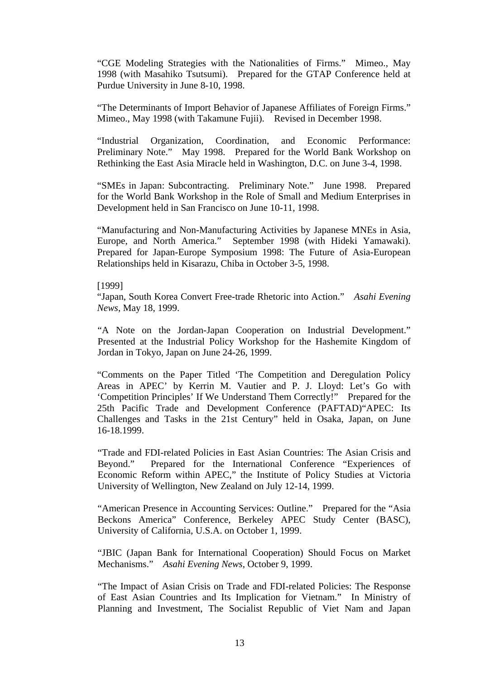"CGE Modeling Strategies with the Nationalities of Firms." Mimeo., May 1998 (with Masahiko Tsutsumi). Prepared for the GTAP Conference held at Purdue University in June 8-10, 1998.

"The Determinants of Import Behavior of Japanese Affiliates of Foreign Firms." Mimeo., May 1998 (with Takamune Fujii). Revised in December 1998.

"Industrial Organization, Coordination, and Economic Performance: Preliminary Note." May 1998. Prepared for the World Bank Workshop on Rethinking the East Asia Miracle held in Washington, D.C. on June 3-4, 1998.

"SMEs in Japan: Subcontracting. Preliminary Note." June 1998. Prepared for the World Bank Workshop in the Role of Small and Medium Enterprises in Development held in San Francisco on June 10-11, 1998.

"Manufacturing and Non-Manufacturing Activities by Japanese MNEs in Asia, Europe, and North America." September 1998 (with Hideki Yamawaki). Prepared for Japan-Europe Symposium 1998: The Future of Asia-European Relationships held in Kisarazu, Chiba in October 3-5, 1998.

# [1999]

"Japan, South Korea Convert Free-trade Rhetoric into Action." *Asahi Evening News*, May 18, 1999.

"A Note on the Jordan-Japan Cooperation on Industrial Development." Presented at the Industrial Policy Workshop for the Hashemite Kingdom of Jordan in Tokyo, Japan on June 24-26, 1999.

"Comments on the Paper Titled 'The Competition and Deregulation Policy Areas in APEC' by Kerrin M. Vautier and P. J. Lloyd: Let's Go with 'Competition Principles' If We Understand Them Correctly!" Prepared for the 25th Pacific Trade and Development Conference (PAFTAD)"APEC: Its Challenges and Tasks in the 21st Century" held in Osaka, Japan, on June 16-18.1999.

"Trade and FDI-related Policies in East Asian Countries: The Asian Crisis and Beyond." Prepared for the International Conference "Experiences of Economic Reform within APEC," the Institute of Policy Studies at Victoria University of Wellington, New Zealand on July 12-14, 1999.

"American Presence in Accounting Services: Outline." Prepared for the "Asia Beckons America" Conference, Berkeley APEC Study Center (BASC), University of California, U.S.A. on October 1, 1999.

"JBIC (Japan Bank for International Cooperation) Should Focus on Market Mechanisms." *Asahi Evening News*, October 9, 1999.

"The Impact of Asian Crisis on Trade and FDI-related Policies: The Response of East Asian Countries and Its Implication for Vietnam." In Ministry of Planning and Investment, The Socialist Republic of Viet Nam and Japan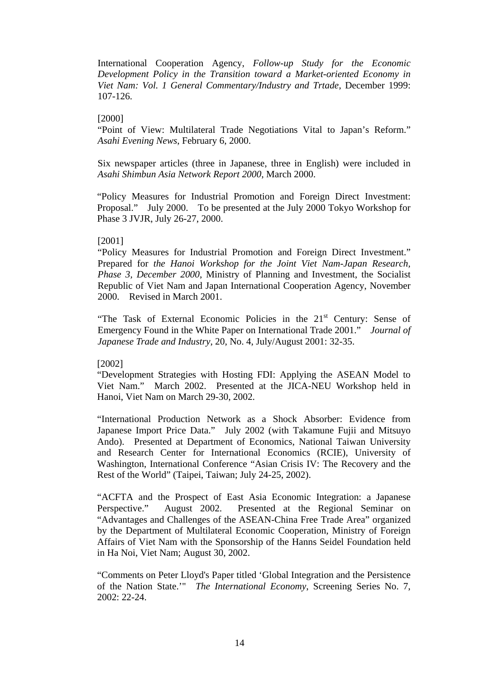International Cooperation Agency, *Follow-up Study for the Economic Development Policy in the Transition toward a Market-oriented Economy in Viet Nam: Vol. 1 General Commentary/Industry and Trtade*, December 1999: 107-126.

### [2000]

"Point of View: Multilateral Trade Negotiations Vital to Japan's Reform." *Asahi Evening News*, February 6, 2000.

Six newspaper articles (three in Japanese, three in English) were included in *Asahi Shimbun Asia Network Report 2000*, March 2000.

"Policy Measures for Industrial Promotion and Foreign Direct Investment: Proposal." July 2000. To be presented at the July 2000 Tokyo Workshop for Phase 3 JVJR, July 26-27, 2000.

## [2001]

"Policy Measures for Industrial Promotion and Foreign Direct Investment." Prepared for *the Hanoi Workshop for the Joint Viet Nam-Japan Research, Phase 3, December 2000*, Ministry of Planning and Investment, the Socialist Republic of Viet Nam and Japan International Cooperation Agency, November 2000. Revised in March 2001.

"The Task of External Economic Policies in the 21<sup>st</sup> Century: Sense of Emergency Found in the White Paper on International Trade 2001." *Journal of Japanese Trade and Industry*, 20, No. 4, July/August 2001: 32-35.

#### [2002]

"Development Strategies with Hosting FDI: Applying the ASEAN Model to Viet Nam." March 2002. Presented at the JICA-NEU Workshop held in Hanoi, Viet Nam on March 29-30, 2002.

"International Production Network as a Shock Absorber: Evidence from Japanese Import Price Data." July 2002 (with Takamune Fujii and Mitsuyo Ando). Presented at Department of Economics, National Taiwan University and Research Center for International Economics (RCIE), University of Washington, International Conference "Asian Crisis IV: The Recovery and the Rest of the World" (Taipei, Taiwan; July 24-25, 2002).

"ACFTA and the Prospect of East Asia Economic Integration: a Japanese Perspective." August 2002. Presented at the Regional Seminar on "Advantages and Challenges of the ASEAN-China Free Trade Area" organized by the Department of Multilateral Economic Cooperation, Ministry of Foreign Affairs of Viet Nam with the Sponsorship of the Hanns Seidel Foundation held in Ha Noi, Viet Nam; August 30, 2002.

"Comments on Peter Lloyd's Paper titled 'Global Integration and the Persistence of the Nation State.'" *The International Economy*, Screening Series No. 7, 2002: 22-24.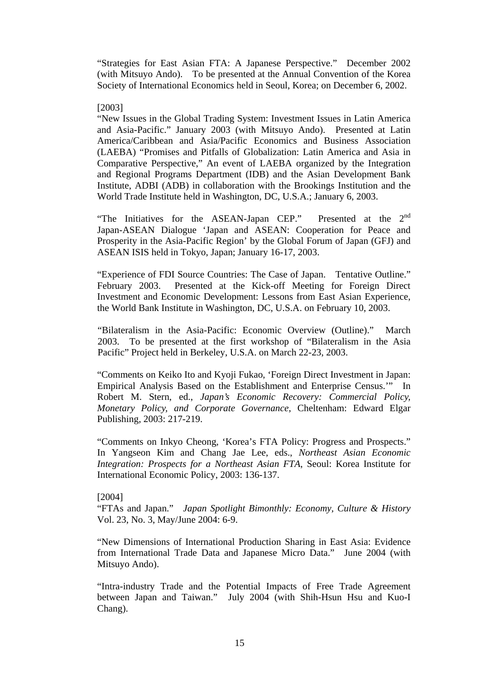"Strategies for East Asian FTA: A Japanese Perspective." December 2002 (with Mitsuyo Ando). To be presented at the Annual Convention of the Korea Society of International Economics held in Seoul, Korea; on December 6, 2002.

#### [2003]

"New Issues in the Global Trading System: Investment Issues in Latin America and Asia-Pacific." January 2003 (with Mitsuyo Ando). Presented at Latin America/Caribbean and Asia/Pacific Economics and Business Association (LAEBA) "Promises and Pitfalls of Globalization: Latin America and Asia in Comparative Perspective," An event of LAEBA organized by the Integration and Regional Programs Department (IDB) and the Asian Development Bank Institute, ADBI (ADB) in collaboration with the Brookings Institution and the World Trade Institute held in Washington, DC, U.S.A.; January 6, 2003.

"The Initiatives for the ASEAN-Japan CEP." Presented at the 2<sup>nd</sup> Japan-ASEAN Dialogue 'Japan and ASEAN: Cooperation for Peace and Prosperity in the Asia-Pacific Region' by the Global Forum of Japan (GFJ) and ASEAN ISIS held in Tokyo, Japan; January 16-17, 2003.

"Experience of FDI Source Countries: The Case of Japan. Tentative Outline." February 2003. Presented at the Kick-off Meeting for Foreign Direct Investment and Economic Development: Lessons from East Asian Experience, the World Bank Institute in Washington, DC, U.S.A. on February 10, 2003.

"Bilateralism in the Asia-Pacific: Economic Overview (Outline)." March 2003. To be presented at the first workshop of "Bilateralism in the Asia Pacific" Project held in Berkeley, U.S.A. on March 22-23, 2003.

"Comments on Keiko Ito and Kyoji Fukao, 'Foreign Direct Investment in Japan: Empirical Analysis Based on the Establishment and Enterprise Census.'" In Robert M. Stern, ed., *Japan's Economic Recovery: Commercial Policy, Monetary Policy, and Corporate Governance*, Cheltenham: Edward Elgar Publishing, 2003: 217-219.

"Comments on Inkyo Cheong, 'Korea's FTA Policy: Progress and Prospects." In Yangseon Kim and Chang Jae Lee, eds., *Northeast Asian Economic Integration: Prospects for a Northeast Asian FTA*, Seoul: Korea Institute for International Economic Policy, 2003: 136-137.

#### [2004]

"FTAs and Japan." *Japan Spotlight Bimonthly: Economy, Culture & History* Vol. 23, No. 3, May/June 2004: 6-9.

"New Dimensions of International Production Sharing in East Asia: Evidence from International Trade Data and Japanese Micro Data." June 2004 (with Mitsuyo Ando).

"Intra-industry Trade and the Potential Impacts of Free Trade Agreement between Japan and Taiwan." July 2004 (with Shih-Hsun Hsu and Kuo-I Chang).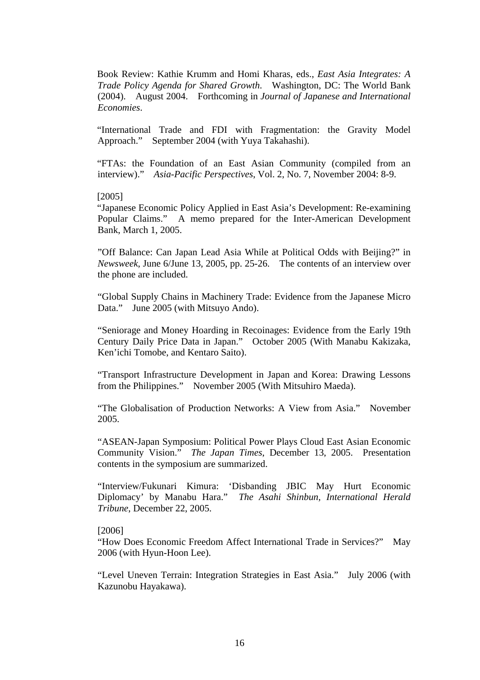Book Review: Kathie Krumm and Homi Kharas, eds., *East Asia Integrates: A Trade Policy Agenda for Shared Growth*. Washington, DC: The World Bank (2004). August 2004. Forthcoming in *Journal of Japanese and International Economies*.

"International Trade and FDI with Fragmentation: the Gravity Model Approach." September 2004 (with Yuya Takahashi).

"FTAs: the Foundation of an East Asian Community (compiled from an interview)." *Asia-Pacific Perspectives*, Vol. 2, No. 7, November 2004: 8-9.

#### [2005]

"Japanese Economic Policy Applied in East Asia's Development: Re-examining Popular Claims." A memo prepared for the Inter-American Development Bank, March 1, 2005.

"Off Balance: Can Japan Lead Asia While at Political Odds with Beijing?" in *Newsweek*, June 6/June 13, 2005, pp. 25-26. The contents of an interview over the phone are included.

"Global Supply Chains in Machinery Trade: Evidence from the Japanese Micro Data." June 2005 (with Mitsuyo Ando).

"Seniorage and Money Hoarding in Recoinages: Evidence from the Early 19th Century Daily Price Data in Japan." October 2005 (With Manabu Kakizaka, Ken'ichi Tomobe, and Kentaro Saito).

"Transport Infrastructure Development in Japan and Korea: Drawing Lessons from the Philippines." November 2005 (With Mitsuhiro Maeda).

"The Globalisation of Production Networks: A View from Asia." November 2005.

"ASEAN-Japan Symposium: Political Power Plays Cloud East Asian Economic Community Vision." *The Japan Times*, December 13, 2005. Presentation contents in the symposium are summarized.

"Interview/Fukunari Kimura: 'Disbanding JBIC May Hurt Economic Diplomacy' by Manabu Hara." *The Asahi Shinbun, International Herald Tribune*, December 22, 2005.

#### [2006]

"How Does Economic Freedom Affect International Trade in Services?" May 2006 (with Hyun-Hoon Lee).

"Level Uneven Terrain: Integration Strategies in East Asia." July 2006 (with Kazunobu Hayakawa).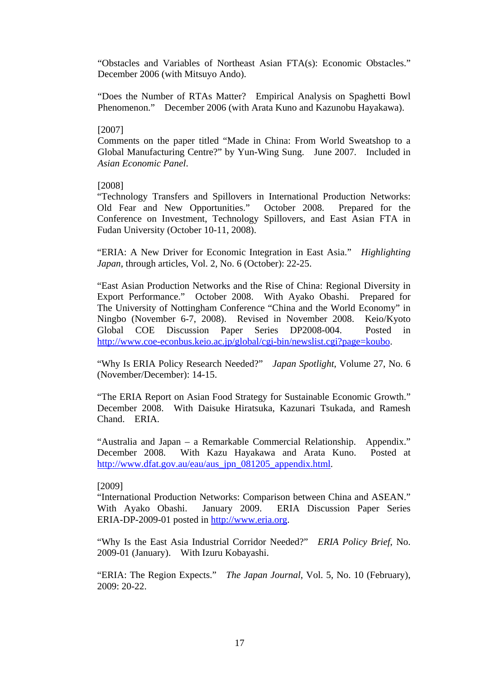"Obstacles and Variables of Northeast Asian FTA(s): Economic Obstacles." December 2006 (with Mitsuyo Ando).

"Does the Number of RTAs Matter? Empirical Analysis on Spaghetti Bowl Phenomenon." December 2006 (with Arata Kuno and Kazunobu Hayakawa).

#### [2007]

Comments on the paper titled "Made in China: From World Sweatshop to a Global Manufacturing Centre?" by Yun-Wing Sung. June 2007. Included in *Asian Economic Panel*.

#### [2008]

"Technology Transfers and Spillovers in International Production Networks: Old Fear and New Opportunities." October 2008. Prepared for the Conference on Investment, Technology Spillovers, and East Asian FTA in Fudan University (October 10-11, 2008).

"ERIA: A New Driver for Economic Integration in East Asia." *Highlighting Japan*, through articles, Vol. 2, No. 6 (October): 22-25.

"East Asian Production Networks and the Rise of China: Regional Diversity in Export Performance." October 2008. With Ayako Obashi. Prepared for The University of Nottingham Conference "China and the World Economy" in Ningbo (November 6-7, 2008). Revised in November 2008. Keio/Kyoto Global COE Discussion Paper Series DP2008-004. Posted in http://www.coe-econbus.keio.ac.jp/global/cgi-bin/newslist.cgi?page=koubo.

"Why Is ERIA Policy Research Needed?" *Japan Spotlight*, Volume 27, No. 6 (November/December): 14-15.

"The ERIA Report on Asian Food Strategy for Sustainable Economic Growth." December 2008. With Daisuke Hiratsuka, Kazunari Tsukada, and Ramesh Chand. ERIA.

"Australia and Japan – a Remarkable Commercial Relationship. Appendix." December 2008. With Kazu Hayakawa and Arata Kuno. Posted at http://www.dfat.gov.au/eau/aus\_jpn\_081205\_appendix.html.

#### [2009]

"International Production Networks: Comparison between China and ASEAN." With Ayako Obashi. January 2009. ERIA Discussion Paper Series ERIA-DP-2009-01 posted in http://www.eria.org.

"Why Is the East Asia Industrial Corridor Needed?" *ERIA Policy Brief*, No. 2009-01 (January). With Izuru Kobayashi.

"ERIA: The Region Expects." *The Japan Journal*, Vol. 5, No. 10 (February), 2009: 20-22.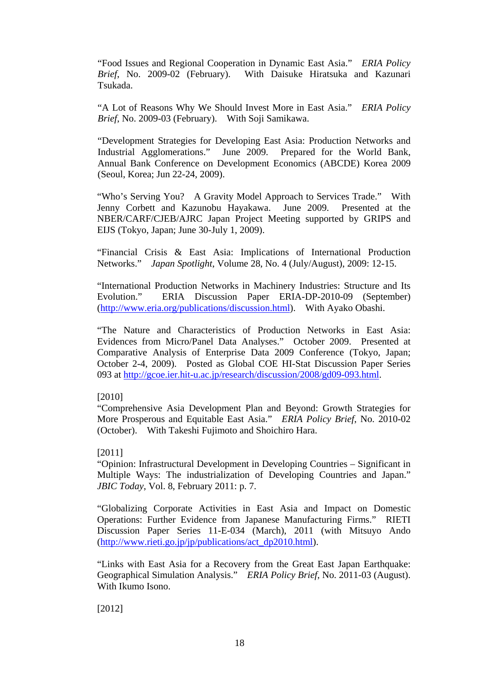"Food Issues and Regional Cooperation in Dynamic East Asia." *ERIA Policy Brief*, No. 2009-02 (February). With Daisuke Hiratsuka and Kazunari Tsukada.

"A Lot of Reasons Why We Should Invest More in East Asia." *ERIA Policy Brief*, No. 2009-03 (February). With Soji Samikawa.

"Development Strategies for Developing East Asia: Production Networks and Industrial Agglomerations." June 2009. Prepared for the World Bank, Annual Bank Conference on Development Economics (ABCDE) Korea 2009 (Seoul, Korea; Jun 22-24, 2009).

"Who's Serving You? A Gravity Model Approach to Services Trade." With Jenny Corbett and Kazunobu Hayakawa. June 2009. Presented at the NBER/CARF/CJEB/AJRC Japan Project Meeting supported by GRIPS and EIJS (Tokyo, Japan; June 30-July 1, 2009).

"Financial Crisis & East Asia: Implications of International Production Networks." *Japan Spotlight*, Volume 28, No. 4 (July/August), 2009: 12-15.

"International Production Networks in Machinery Industries: Structure and Its Evolution." ERIA Discussion Paper ERIA-DP-2010-09 (September) (http://www.eria.org/publications/discussion.html). With Ayako Obashi.

"The Nature and Characteristics of Production Networks in East Asia: Evidences from Micro/Panel Data Analyses." October 2009. Presented at Comparative Analysis of Enterprise Data 2009 Conference (Tokyo, Japan; October 2-4, 2009). Posted as Global COE HI-Stat Discussion Paper Series 093 at http://gcoe.ier.hit-u.ac.jp/research/discussion/2008/gd09-093.html.

# [2010]

"Comprehensive Asia Development Plan and Beyond: Growth Strategies for More Prosperous and Equitable East Asia." *ERIA Policy Brief*, No. 2010-02 (October). With Takeshi Fujimoto and Shoichiro Hara.

## [2011]

"Opinion: Infrastructural Development in Developing Countries – Significant in Multiple Ways: The industrialization of Developing Countries and Japan." *JBIC Today*, Vol. 8, February 2011: p. 7.

"Globalizing Corporate Activities in East Asia and Impact on Domestic Operations: Further Evidence from Japanese Manufacturing Firms." RIETI Discussion Paper Series 11-E-034 (March), 2011 (with Mitsuyo Ando (http://www.rieti.go.jp/jp/publications/act\_dp2010.html).

"Links with East Asia for a Recovery from the Great East Japan Earthquake: Geographical Simulation Analysis." *ERIA Policy Brief*, No. 2011-03 (August). With Ikumo Isono.

[2012]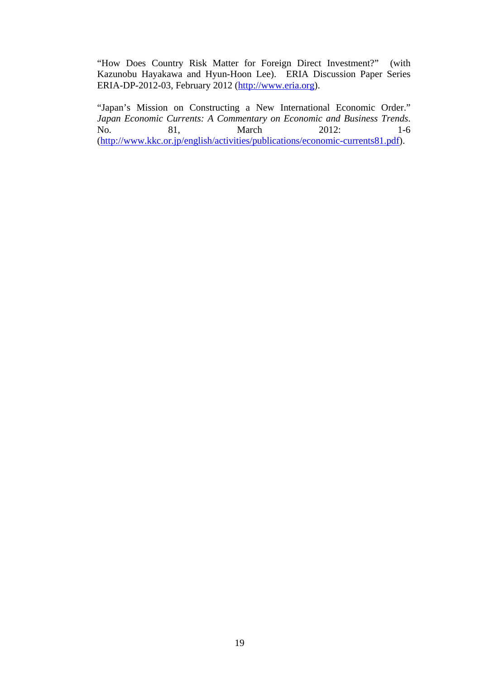"How Does Country Risk Matter for Foreign Direct Investment?" (with Kazunobu Hayakawa and Hyun-Hoon Lee). ERIA Discussion Paper Series ERIA-DP-2012-03, February 2012 (http://www.eria.org).

"Japan's Mission on Constructing a New International Economic Order." *Japan Economic Currents: A Commentary on Economic and Business Trends*. No. 81, March 2012: 1-6 (http://www.kkc.or.jp/english/activities/publications/economic-currents81.pdf).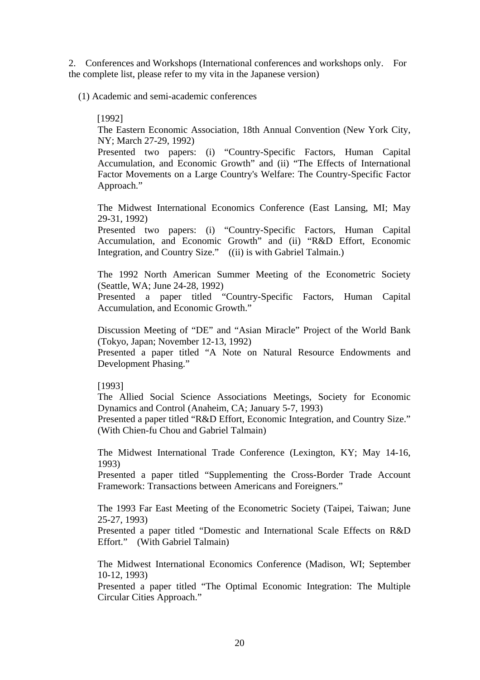2. Conferences and Workshops (International conferences and workshops only. For the complete list, please refer to my vita in the Japanese version)

(1) Academic and semi-academic conferences

### [1992]

The Eastern Economic Association, 18th Annual Convention (New York City, NY; March 27-29, 1992)

Presented two papers: (i) "Country-Specific Factors, Human Capital Accumulation, and Economic Growth" and (ii) "The Effects of International Factor Movements on a Large Country's Welfare: The Country-Specific Factor Approach."

The Midwest International Economics Conference (East Lansing, MI; May 29-31, 1992)

Presented two papers: (i) "Country-Specific Factors, Human Capital Accumulation, and Economic Growth" and (ii) "R&D Effort, Economic Integration, and Country Size." ((ii) is with Gabriel Talmain.)

The 1992 North American Summer Meeting of the Econometric Society (Seattle, WA; June 24-28, 1992)

Presented a paper titled "Country-Specific Factors, Human Capital Accumulation, and Economic Growth."

Discussion Meeting of "DE" and "Asian Miracle" Project of the World Bank (Tokyo, Japan; November 12-13, 1992)

Presented a paper titled "A Note on Natural Resource Endowments and Development Phasing."

## [1993]

The Allied Social Science Associations Meetings, Society for Economic Dynamics and Control (Anaheim, CA; January 5-7, 1993)

Presented a paper titled "R&D Effort, Economic Integration, and Country Size." (With Chien-fu Chou and Gabriel Talmain)

The Midwest International Trade Conference (Lexington, KY; May 14-16, 1993)

Presented a paper titled "Supplementing the Cross-Border Trade Account Framework: Transactions between Americans and Foreigners."

The 1993 Far East Meeting of the Econometric Society (Taipei, Taiwan; June 25-27, 1993)

Presented a paper titled "Domestic and International Scale Effects on R&D Effort." (With Gabriel Talmain)

The Midwest International Economics Conference (Madison, WI; September 10-12, 1993)

Presented a paper titled "The Optimal Economic Integration: The Multiple Circular Cities Approach."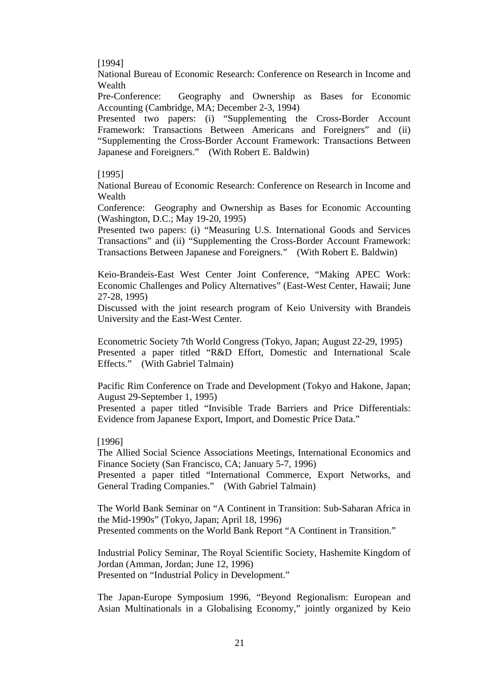[1994]

National Bureau of Economic Research: Conference on Research in Income and Wealth

Pre-Conference: Geography and Ownership as Bases for Economic Accounting (Cambridge, MA; December 2-3, 1994)

Presented two papers: (i) "Supplementing the Cross-Border Account Framework: Transactions Between Americans and Foreigners" and (ii) "Supplementing the Cross-Border Account Framework: Transactions Between Japanese and Foreigners." (With Robert E. Baldwin)

## [1995]

National Bureau of Economic Research: Conference on Research in Income and Wealth

Conference: Geography and Ownership as Bases for Economic Accounting (Washington, D.C.; May 19-20, 1995)

Presented two papers: (i) "Measuring U.S. International Goods and Services Transactions" and (ii) "Supplementing the Cross-Border Account Framework: Transactions Between Japanese and Foreigners." (With Robert E. Baldwin)

Keio-Brandeis-East West Center Joint Conference, "Making APEC Work: Economic Challenges and Policy Alternatives" (East-West Center, Hawaii; June 27-28, 1995)

Discussed with the joint research program of Keio University with Brandeis University and the East-West Center.

Econometric Society 7th World Congress (Tokyo, Japan; August 22-29, 1995) Presented a paper titled "R&D Effort, Domestic and International Scale Effects." (With Gabriel Talmain)

Pacific Rim Conference on Trade and Development (Tokyo and Hakone, Japan; August 29-September 1, 1995)

Presented a paper titled "Invisible Trade Barriers and Price Differentials: Evidence from Japanese Export, Import, and Domestic Price Data."

#### [1996]

The Allied Social Science Associations Meetings, International Economics and Finance Society (San Francisco, CA; January 5-7, 1996)

Presented a paper titled "International Commerce, Export Networks, and General Trading Companies." (With Gabriel Talmain)

The World Bank Seminar on "A Continent in Transition: Sub-Saharan Africa in the Mid-1990s" (Tokyo, Japan; April 18, 1996) Presented comments on the World Bank Report "A Continent in Transition."

Industrial Policy Seminar, The Royal Scientific Society, Hashemite Kingdom of Jordan (Amman, Jordan; June 12, 1996) Presented on "Industrial Policy in Development."

The Japan-Europe Symposium 1996, "Beyond Regionalism: European and Asian Multinationals in a Globalising Economy," jointly organized by Keio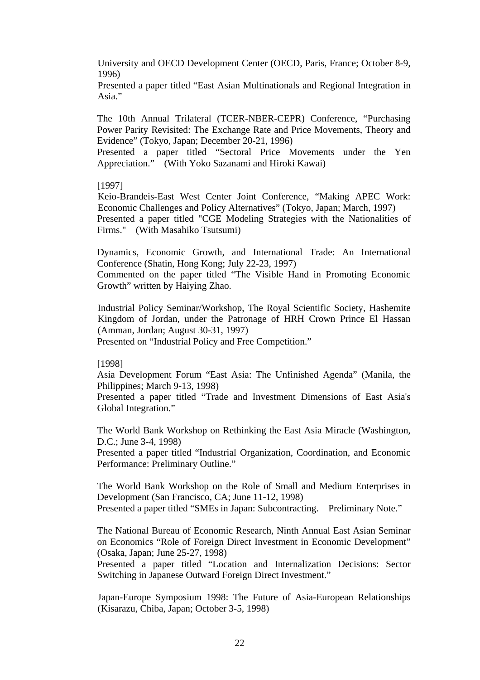University and OECD Development Center (OECD, Paris, France; October 8-9, 1996)

Presented a paper titled "East Asian Multinationals and Regional Integration in Asia."

The 10th Annual Trilateral (TCER-NBER-CEPR) Conference, "Purchasing Power Parity Revisited: The Exchange Rate and Price Movements, Theory and Evidence" (Tokyo, Japan; December 20-21, 1996)

Presented a paper titled "Sectoral Price Movements under the Yen Appreciation." (With Yoko Sazanami and Hiroki Kawai)

#### [1997]

Keio-Brandeis-East West Center Joint Conference, "Making APEC Work: Economic Challenges and Policy Alternatives" (Tokyo, Japan; March, 1997) Presented a paper titled "CGE Modeling Strategies with the Nationalities of Firms." (With Masahiko Tsutsumi)

Dynamics, Economic Growth, and International Trade: An International Conference (Shatin, Hong Kong; July 22-23, 1997)

Commented on the paper titled "The Visible Hand in Promoting Economic Growth" written by Haiying Zhao.

Industrial Policy Seminar/Workshop, The Royal Scientific Society, Hashemite Kingdom of Jordan, under the Patronage of HRH Crown Prince El Hassan (Amman, Jordan; August 30-31, 1997) Presented on "Industrial Policy and Free Competition."

#### [1998]

Asia Development Forum "East Asia: The Unfinished Agenda" (Manila, the Philippines; March 9-13, 1998)

Presented a paper titled "Trade and Investment Dimensions of East Asia's Global Integration."

The World Bank Workshop on Rethinking the East Asia Miracle (Washington, D.C.; June 3-4, 1998)

Presented a paper titled "Industrial Organization, Coordination, and Economic Performance: Preliminary Outline."

The World Bank Workshop on the Role of Small and Medium Enterprises in Development (San Francisco, CA; June 11-12, 1998) Presented a paper titled "SMEs in Japan: Subcontracting. Preliminary Note."

The National Bureau of Economic Research, Ninth Annual East Asian Seminar on Economics "Role of Foreign Direct Investment in Economic Development" (Osaka, Japan; June 25-27, 1998)

Presented a paper titled "Location and Internalization Decisions: Sector Switching in Japanese Outward Foreign Direct Investment."

Japan-Europe Symposium 1998: The Future of Asia-European Relationships (Kisarazu, Chiba, Japan; October 3-5, 1998)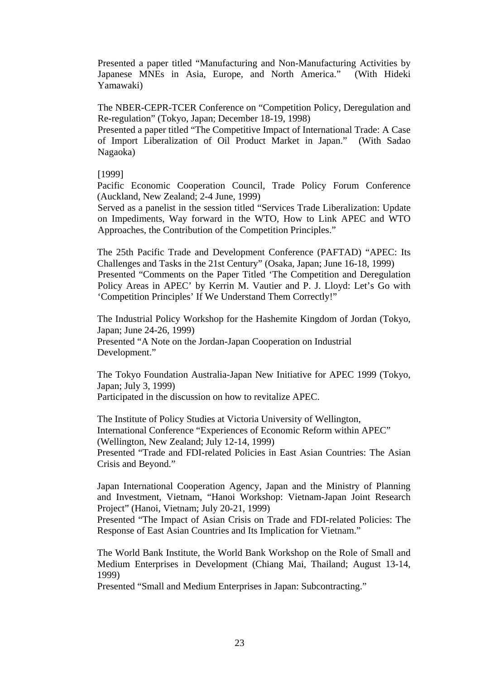Presented a paper titled "Manufacturing and Non-Manufacturing Activities by Japanese MNEs in Asia, Europe, and North America." (With Hideki Yamawaki)

The NBER-CEPR-TCER Conference on "Competition Policy, Deregulation and Re-regulation" (Tokyo, Japan; December 18-19, 1998)

Presented a paper titled "The Competitive Impact of International Trade: A Case of Import Liberalization of Oil Product Market in Japan." (With Sadao Nagaoka)

### [1999]

Pacific Economic Cooperation Council, Trade Policy Forum Conference (Auckland, New Zealand; 2-4 June, 1999)

Served as a panelist in the session titled "Services Trade Liberalization: Update on Impediments, Way forward in the WTO, How to Link APEC and WTO Approaches, the Contribution of the Competition Principles."

The 25th Pacific Trade and Development Conference (PAFTAD) "APEC: Its Challenges and Tasks in the 21st Century" (Osaka, Japan; June 16-18, 1999) Presented "Comments on the Paper Titled 'The Competition and Deregulation Policy Areas in APEC' by Kerrin M. Vautier and P. J. Lloyd: Let's Go with 'Competition Principles' If We Understand Them Correctly!"

The Industrial Policy Workshop for the Hashemite Kingdom of Jordan (Tokyo, Japan; June 24-26, 1999) Presented "A Note on the Jordan-Japan Cooperation on Industrial Development."

The Tokyo Foundation Australia-Japan New Initiative for APEC 1999 (Tokyo, Japan; July 3, 1999) Participated in the discussion on how to revitalize APEC.

The Institute of Policy Studies at Victoria University of Wellington, International Conference "Experiences of Economic Reform within APEC" (Wellington, New Zealand; July 12-14, 1999) Presented "Trade and FDI-related Policies in East Asian Countries: The Asian Crisis and Beyond."

Japan International Cooperation Agency, Japan and the Ministry of Planning and Investment, Vietnam, "Hanoi Workshop: Vietnam-Japan Joint Research Project" (Hanoi, Vietnam; July 20-21, 1999)

Presented "The Impact of Asian Crisis on Trade and FDI-related Policies: The Response of East Asian Countries and Its Implication for Vietnam."

The World Bank Institute, the World Bank Workshop on the Role of Small and Medium Enterprises in Development (Chiang Mai, Thailand; August 13-14, 1999)

Presented "Small and Medium Enterprises in Japan: Subcontracting."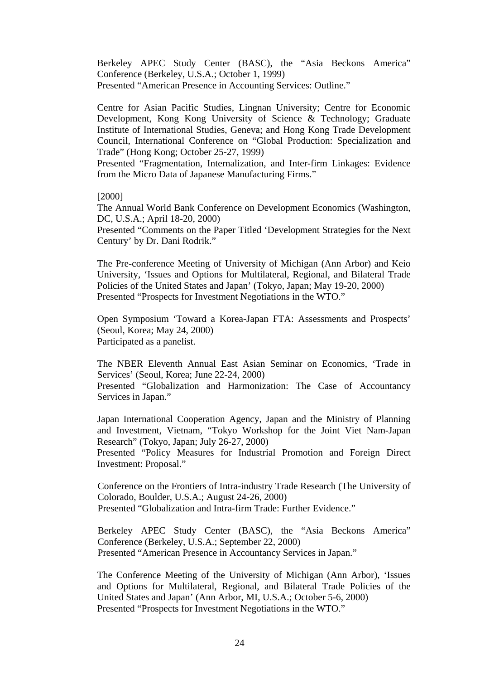Berkeley APEC Study Center (BASC), the "Asia Beckons America" Conference (Berkeley, U.S.A.; October 1, 1999) Presented "American Presence in Accounting Services: Outline."

Centre for Asian Pacific Studies, Lingnan University; Centre for Economic Development, Kong Kong University of Science & Technology; Graduate Institute of International Studies, Geneva; and Hong Kong Trade Development Council, International Conference on "Global Production: Specialization and Trade" (Hong Kong; October 25-27, 1999)

Presented "Fragmentation, Internalization, and Inter-firm Linkages: Evidence from the Micro Data of Japanese Manufacturing Firms."

[2000]

The Annual World Bank Conference on Development Economics (Washington, DC, U.S.A.; April 18-20, 2000)

Presented "Comments on the Paper Titled 'Development Strategies for the Next Century' by Dr. Dani Rodrik."

The Pre-conference Meeting of University of Michigan (Ann Arbor) and Keio University, 'Issues and Options for Multilateral, Regional, and Bilateral Trade Policies of the United States and Japan' (Tokyo, Japan; May 19-20, 2000) Presented "Prospects for Investment Negotiations in the WTO."

Open Symposium 'Toward a Korea-Japan FTA: Assessments and Prospects' (Seoul, Korea; May 24, 2000) Participated as a panelist.

The NBER Eleventh Annual East Asian Seminar on Economics, 'Trade in Services' (Seoul, Korea; June 22-24, 2000)

Presented "Globalization and Harmonization: The Case of Accountancy Services in Japan."

Japan International Cooperation Agency, Japan and the Ministry of Planning and Investment, Vietnam, "Tokyo Workshop for the Joint Viet Nam-Japan Research" (Tokyo, Japan; July 26-27, 2000)

Presented "Policy Measures for Industrial Promotion and Foreign Direct Investment: Proposal."

Conference on the Frontiers of Intra-industry Trade Research (The University of Colorado, Boulder, U.S.A.; August 24-26, 2000) Presented "Globalization and Intra-firm Trade: Further Evidence."

Berkeley APEC Study Center (BASC), the "Asia Beckons America" Conference (Berkeley, U.S.A.; September 22, 2000) Presented "American Presence in Accountancy Services in Japan."

The Conference Meeting of the University of Michigan (Ann Arbor), 'Issues and Options for Multilateral, Regional, and Bilateral Trade Policies of the United States and Japan' (Ann Arbor, MI, U.S.A.; October 5-6, 2000) Presented "Prospects for Investment Negotiations in the WTO."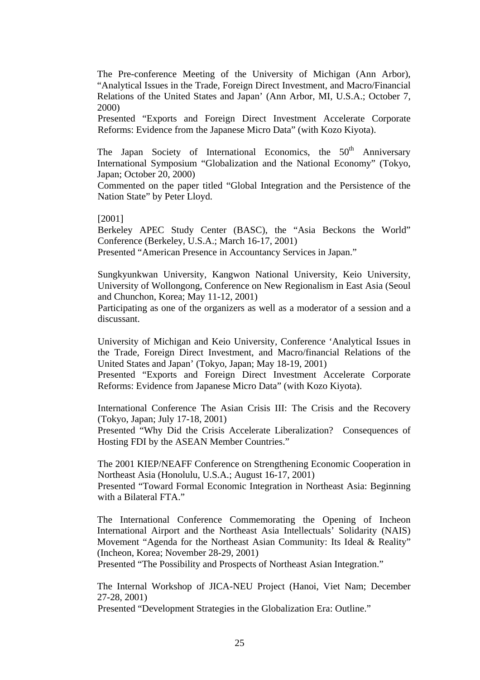The Pre-conference Meeting of the University of Michigan (Ann Arbor), "Analytical Issues in the Trade, Foreign Direct Investment, and Macro/Financial Relations of the United States and Japan' (Ann Arbor, MI, U.S.A.; October 7, 2000)

Presented "Exports and Foreign Direct Investment Accelerate Corporate Reforms: Evidence from the Japanese Micro Data" (with Kozo Kiyota).

The Japan Society of International Economics, the 50<sup>th</sup> Anniversary International Symposium "Globalization and the National Economy" (Tokyo, Japan; October 20, 2000)

Commented on the paper titled "Global Integration and the Persistence of the Nation State" by Peter Lloyd.

[2001]

Berkeley APEC Study Center (BASC), the "Asia Beckons the World" Conference (Berkeley, U.S.A.; March 16-17, 2001)

Presented "American Presence in Accountancy Services in Japan."

Sungkyunkwan University, Kangwon National University, Keio University, University of Wollongong, Conference on New Regionalism in East Asia (Seoul and Chunchon, Korea; May 11-12, 2001)

Participating as one of the organizers as well as a moderator of a session and a discussant.

University of Michigan and Keio University, Conference 'Analytical Issues in the Trade, Foreign Direct Investment, and Macro/financial Relations of the United States and Japan' (Tokyo, Japan; May 18-19, 2001)

Presented "Exports and Foreign Direct Investment Accelerate Corporate Reforms: Evidence from Japanese Micro Data" (with Kozo Kiyota).

International Conference The Asian Crisis III: The Crisis and the Recovery (Tokyo, Japan; July 17-18, 2001)

Presented "Why Did the Crisis Accelerate Liberalization? Consequences of Hosting FDI by the ASEAN Member Countries."

The 2001 KIEP/NEAFF Conference on Strengthening Economic Cooperation in Northeast Asia (Honolulu, U.S.A.; August 16-17, 2001)

Presented "Toward Formal Economic Integration in Northeast Asia: Beginning with a Bilateral FTA"

The International Conference Commemorating the Opening of Incheon International Airport and the Northeast Asia Intellectuals' Solidarity (NAIS) Movement "Agenda for the Northeast Asian Community: Its Ideal & Reality" (Incheon, Korea; November 28-29, 2001)

Presented "The Possibility and Prospects of Northeast Asian Integration."

The Internal Workshop of JICA-NEU Project (Hanoi, Viet Nam; December 27-28, 2001)

Presented "Development Strategies in the Globalization Era: Outline."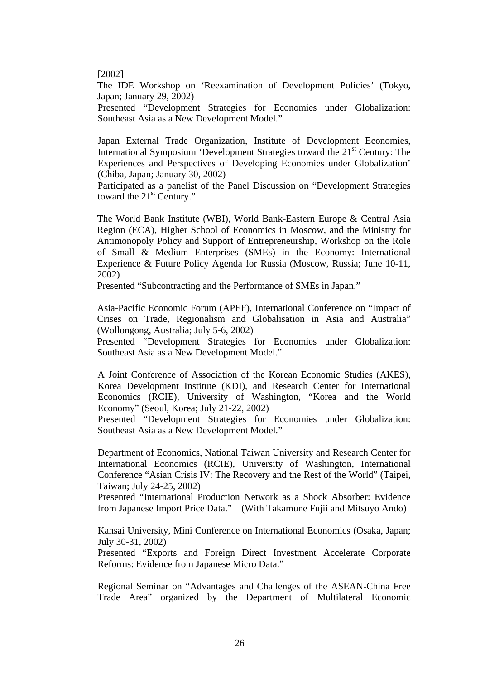#### [2002]

The IDE Workshop on 'Reexamination of Development Policies' (Tokyo, Japan; January 29, 2002)

Presented "Development Strategies for Economies under Globalization: Southeast Asia as a New Development Model."

Japan External Trade Organization, Institute of Development Economies, International Symposium 'Development Strategies toward the 21<sup>st</sup> Century: The Experiences and Perspectives of Developing Economies under Globalization' (Chiba, Japan; January 30, 2002)

Participated as a panelist of the Panel Discussion on "Development Strategies toward the  $21<sup>st</sup>$  Century."

The World Bank Institute (WBI), World Bank-Eastern Europe & Central Asia Region (ECA), Higher School of Economics in Moscow, and the Ministry for Antimonopoly Policy and Support of Entrepreneurship, Workshop on the Role of Small & Medium Enterprises (SMEs) in the Economy: International Experience & Future Policy Agenda for Russia (Moscow, Russia; June 10-11, 2002)

Presented "Subcontracting and the Performance of SMEs in Japan."

Asia-Pacific Economic Forum (APEF), International Conference on "Impact of Crises on Trade, Regionalism and Globalisation in Asia and Australia" (Wollongong, Australia; July 5-6, 2002)

Presented "Development Strategies for Economies under Globalization: Southeast Asia as a New Development Model."

A Joint Conference of Association of the Korean Economic Studies (AKES), Korea Development Institute (KDI), and Research Center for International Economics (RCIE), University of Washington, "Korea and the World Economy" (Seoul, Korea; July 21-22, 2002)

Presented "Development Strategies for Economies under Globalization: Southeast Asia as a New Development Model."

Department of Economics, National Taiwan University and Research Center for International Economics (RCIE), University of Washington, International Conference "Asian Crisis IV: The Recovery and the Rest of the World" (Taipei, Taiwan; July 24-25, 2002)

Presented "International Production Network as a Shock Absorber: Evidence from Japanese Import Price Data." (With Takamune Fujii and Mitsuyo Ando)

Kansai University, Mini Conference on International Economics (Osaka, Japan; July 30-31, 2002)

Presented "Exports and Foreign Direct Investment Accelerate Corporate Reforms: Evidence from Japanese Micro Data."

Regional Seminar on "Advantages and Challenges of the ASEAN-China Free Trade Area" organized by the Department of Multilateral Economic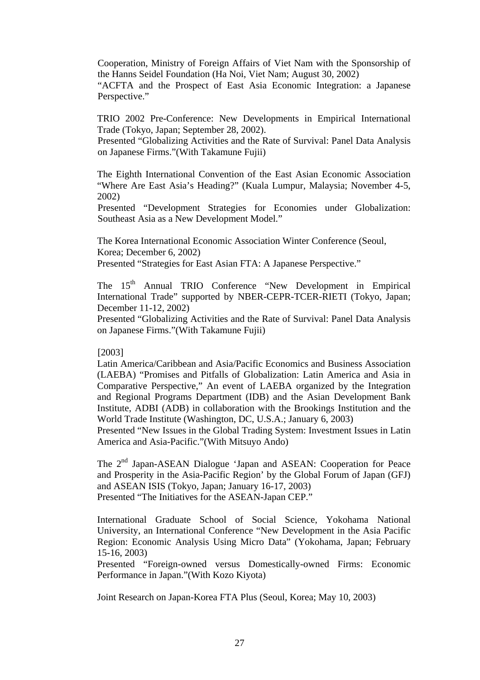Cooperation, Ministry of Foreign Affairs of Viet Nam with the Sponsorship of the Hanns Seidel Foundation (Ha Noi, Viet Nam; August 30, 2002)

"ACFTA and the Prospect of East Asia Economic Integration: a Japanese Perspective."

TRIO 2002 Pre-Conference: New Developments in Empirical International Trade (Tokyo, Japan; September 28, 2002).

Presented "Globalizing Activities and the Rate of Survival: Panel Data Analysis on Japanese Firms."(With Takamune Fujii)

The Eighth International Convention of the East Asian Economic Association "Where Are East Asia's Heading?" (Kuala Lumpur, Malaysia; November 4-5, 2002)

Presented "Development Strategies for Economies under Globalization: Southeast Asia as a New Development Model."

The Korea International Economic Association Winter Conference (Seoul, Korea; December 6, 2002)

Presented "Strategies for East Asian FTA: A Japanese Perspective."

The 15<sup>th</sup> Annual TRIO Conference "New Development in Empirical International Trade" supported by NBER-CEPR-TCER-RIETI (Tokyo, Japan; December 11-12, 2002)

Presented "Globalizing Activities and the Rate of Survival: Panel Data Analysis on Japanese Firms."(With Takamune Fujii)

## [2003]

Latin America/Caribbean and Asia/Pacific Economics and Business Association (LAEBA) "Promises and Pitfalls of Globalization: Latin America and Asia in Comparative Perspective," An event of LAEBA organized by the Integration and Regional Programs Department (IDB) and the Asian Development Bank Institute, ADBI (ADB) in collaboration with the Brookings Institution and the World Trade Institute (Washington, DC, U.S.A.; January 6, 2003)

Presented "New Issues in the Global Trading System: Investment Issues in Latin America and Asia-Pacific."(With Mitsuyo Ando)

The 2<sup>nd</sup> Japan-ASEAN Dialogue 'Japan and ASEAN: Cooperation for Peace and Prosperity in the Asia-Pacific Region' by the Global Forum of Japan (GFJ) and ASEAN ISIS (Tokyo, Japan; January 16-17, 2003) Presented "The Initiatives for the ASEAN-Japan CEP."

International Graduate School of Social Science, Yokohama National University, an International Conference "New Development in the Asia Pacific Region: Economic Analysis Using Micro Data" (Yokohama, Japan; February 15-16, 2003)

Presented "Foreign-owned versus Domestically-owned Firms: Economic Performance in Japan."(With Kozo Kiyota)

Joint Research on Japan-Korea FTA Plus (Seoul, Korea; May 10, 2003)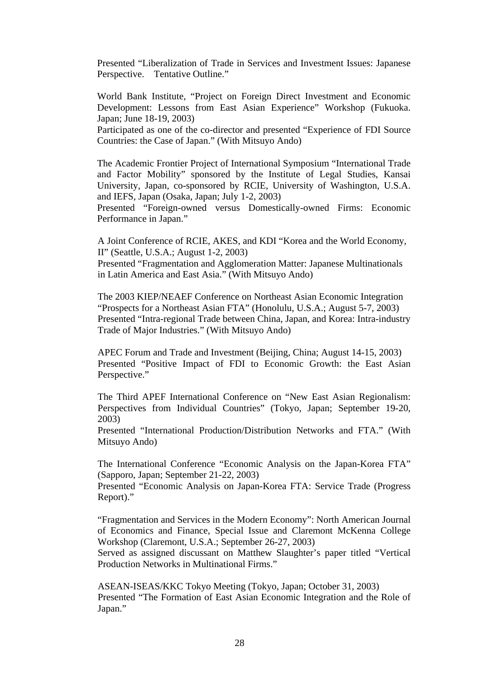Presented "Liberalization of Trade in Services and Investment Issues: Japanese Perspective. Tentative Outline."

World Bank Institute, "Project on Foreign Direct Investment and Economic Development: Lessons from East Asian Experience" Workshop (Fukuoka. Japan; June 18-19, 2003)

Participated as one of the co-director and presented "Experience of FDI Source Countries: the Case of Japan." (With Mitsuyo Ando)

The Academic Frontier Project of International Symposium "International Trade and Factor Mobility" sponsored by the Institute of Legal Studies, Kansai University, Japan, co-sponsored by RCIE, University of Washington, U.S.A. and IEFS, Japan (Osaka, Japan; July 1-2, 2003)

Presented "Foreign-owned versus Domestically-owned Firms: Economic Performance in Japan."

A Joint Conference of RCIE, AKES, and KDI "Korea and the World Economy, II" (Seattle, U.S.A.; August 1-2, 2003)

Presented "Fragmentation and Agglomeration Matter: Japanese Multinationals in Latin America and East Asia." (With Mitsuyo Ando)

The 2003 KIEP/NEAEF Conference on Northeast Asian Economic Integration "Prospects for a Northeast Asian FTA" (Honolulu, U.S.A.; August 5-7, 2003) Presented "Intra-regional Trade between China, Japan, and Korea: Intra-industry Trade of Major Industries." (With Mitsuyo Ando)

APEC Forum and Trade and Investment (Beijing, China; August 14-15, 2003) Presented "Positive Impact of FDI to Economic Growth: the East Asian Perspective."

The Third APEF International Conference on "New East Asian Regionalism: Perspectives from Individual Countries" (Tokyo, Japan; September 19-20, 2003)

Presented "International Production/Distribution Networks and FTA." (With Mitsuyo Ando)

The International Conference "Economic Analysis on the Japan-Korea FTA" (Sapporo, Japan; September 21-22, 2003)

Presented "Economic Analysis on Japan-Korea FTA: Service Trade (Progress Report)."

"Fragmentation and Services in the Modern Economy": North American Journal of Economics and Finance, Special Issue and Claremont McKenna College Workshop (Claremont, U.S.A.; September 26-27, 2003)

Served as assigned discussant on Matthew Slaughter's paper titled "Vertical Production Networks in Multinational Firms."

ASEAN-ISEAS/KKC Tokyo Meeting (Tokyo, Japan; October 31, 2003) Presented "The Formation of East Asian Economic Integration and the Role of Japan."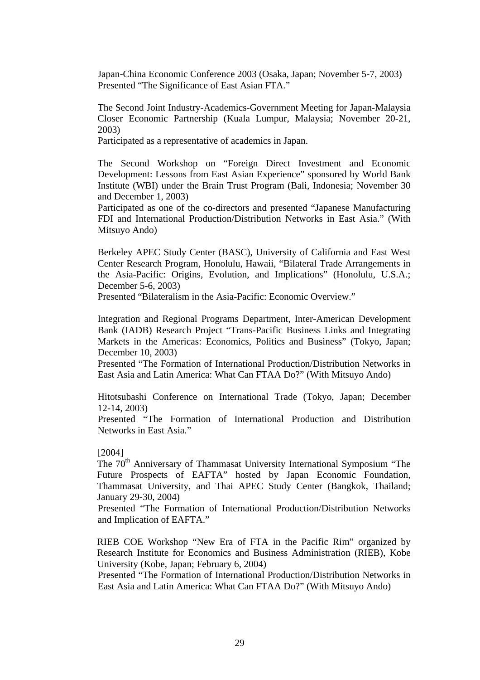Japan-China Economic Conference 2003 (Osaka, Japan; November 5-7, 2003) Presented "The Significance of East Asian FTA."

The Second Joint Industry-Academics-Government Meeting for Japan-Malaysia Closer Economic Partnership (Kuala Lumpur, Malaysia; November 20-21, 2003)

Participated as a representative of academics in Japan.

The Second Workshop on "Foreign Direct Investment and Economic Development: Lessons from East Asian Experience" sponsored by World Bank Institute (WBI) under the Brain Trust Program (Bali, Indonesia; November 30 and December 1, 2003)

Participated as one of the co-directors and presented "Japanese Manufacturing FDI and International Production/Distribution Networks in East Asia." (With Mitsuyo Ando)

Berkeley APEC Study Center (BASC), University of California and East West Center Research Program, Honolulu, Hawaii, "Bilateral Trade Arrangements in the Asia-Pacific: Origins, Evolution, and Implications" (Honolulu, U.S.A.; December 5-6, 2003)

Presented "Bilateralism in the Asia-Pacific: Economic Overview."

Integration and Regional Programs Department, Inter-American Development Bank (IADB) Research Project "Trans-Pacific Business Links and Integrating Markets in the Americas: Economics, Politics and Business" (Tokyo, Japan; December 10, 2003)

Presented "The Formation of International Production/Distribution Networks in East Asia and Latin America: What Can FTAA Do?" (With Mitsuyo Ando)

Hitotsubashi Conference on International Trade (Tokyo, Japan; December 12-14, 2003)

Presented "The Formation of International Production and Distribution Networks in East Asia."

#### [2004]

The 70<sup>th</sup> Anniversary of Thammasat University International Symposium "The Future Prospects of EAFTA" hosted by Japan Economic Foundation, Thammasat University, and Thai APEC Study Center (Bangkok, Thailand; January 29-30, 2004)

Presented "The Formation of International Production/Distribution Networks and Implication of EAFTA."

RIEB COE Workshop "New Era of FTA in the Pacific Rim" organized by Research Institute for Economics and Business Administration (RIEB), Kobe University (Kobe, Japan; February 6, 2004)

Presented "The Formation of International Production/Distribution Networks in East Asia and Latin America: What Can FTAA Do?" (With Mitsuyo Ando)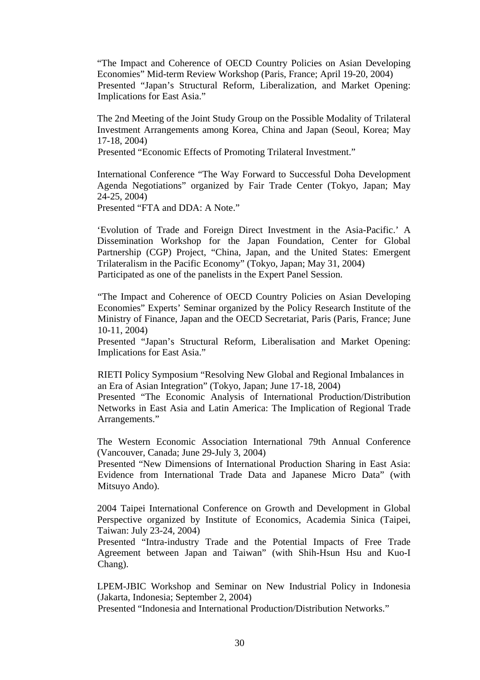"The Impact and Coherence of OECD Country Policies on Asian Developing Economies" Mid-term Review Workshop (Paris, France; April 19-20, 2004) Presented "Japan's Structural Reform, Liberalization, and Market Opening: Implications for East Asia."

The 2nd Meeting of the Joint Study Group on the Possible Modality of Trilateral Investment Arrangements among Korea, China and Japan (Seoul, Korea; May 17-18, 2004)

Presented "Economic Effects of Promoting Trilateral Investment."

International Conference "The Way Forward to Successful Doha Development Agenda Negotiations" organized by Fair Trade Center (Tokyo, Japan; May 24-25, 2004)

Presented "FTA and DDA: A Note."

'Evolution of Trade and Foreign Direct Investment in the Asia-Pacific.' A Dissemination Workshop for the Japan Foundation, Center for Global Partnership (CGP) Project, "China, Japan, and the United States: Emergent Trilateralism in the Pacific Economy" (Tokyo, Japan; May 31, 2004) Participated as one of the panelists in the Expert Panel Session.

"The Impact and Coherence of OECD Country Policies on Asian Developing Economies" Experts' Seminar organized by the Policy Research Institute of the Ministry of Finance, Japan and the OECD Secretariat, Paris (Paris, France; June 10-11, 2004)

Presented "Japan's Structural Reform, Liberalisation and Market Opening: Implications for East Asia."

RIETI Policy Symposium "Resolving New Global and Regional Imbalances in an Era of Asian Integration" (Tokyo, Japan; June 17-18, 2004)

Presented "The Economic Analysis of International Production/Distribution Networks in East Asia and Latin America: The Implication of Regional Trade Arrangements."

The Western Economic Association International 79th Annual Conference (Vancouver, Canada; June 29-July 3, 2004)

Presented "New Dimensions of International Production Sharing in East Asia: Evidence from International Trade Data and Japanese Micro Data" (with Mitsuyo Ando).

2004 Taipei International Conference on Growth and Development in Global Perspective organized by Institute of Economics, Academia Sinica (Taipei, Taiwan: July 23-24, 2004)

Presented "Intra-industry Trade and the Potential Impacts of Free Trade Agreement between Japan and Taiwan" (with Shih-Hsun Hsu and Kuo-I Chang).

LPEM-JBIC Workshop and Seminar on New Industrial Policy in Indonesia (Jakarta, Indonesia; September 2, 2004)

Presented "Indonesia and International Production/Distribution Networks."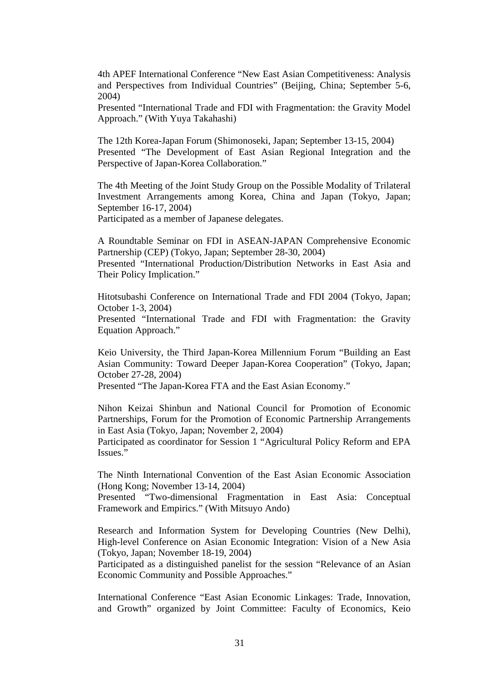4th APEF International Conference "New East Asian Competitiveness: Analysis and Perspectives from Individual Countries" (Beijing, China; September 5-6, 2004)

Presented "International Trade and FDI with Fragmentation: the Gravity Model Approach." (With Yuya Takahashi)

The 12th Korea-Japan Forum (Shimonoseki, Japan; September 13-15, 2004) Presented "The Development of East Asian Regional Integration and the Perspective of Japan-Korea Collaboration."

The 4th Meeting of the Joint Study Group on the Possible Modality of Trilateral Investment Arrangements among Korea, China and Japan (Tokyo, Japan; September 16-17, 2004)

Participated as a member of Japanese delegates.

A Roundtable Seminar on FDI in ASEAN-JAPAN Comprehensive Economic Partnership (CEP) (Tokyo, Japan; September 28-30, 2004)

Presented "International Production/Distribution Networks in East Asia and Their Policy Implication."

Hitotsubashi Conference on International Trade and FDI 2004 (Tokyo, Japan; October 1-3, 2004)

Presented "International Trade and FDI with Fragmentation: the Gravity Equation Approach."

Keio University, the Third Japan-Korea Millennium Forum "Building an East Asian Community: Toward Deeper Japan-Korea Cooperation" (Tokyo, Japan; October 27-28, 2004)

Presented "The Japan-Korea FTA and the East Asian Economy."

Nihon Keizai Shinbun and National Council for Promotion of Economic Partnerships, Forum for the Promotion of Economic Partnership Arrangements in East Asia (Tokyo, Japan; November 2, 2004)

Participated as coordinator for Session 1 "Agricultural Policy Reform and EPA Issues."

The Ninth International Convention of the East Asian Economic Association (Hong Kong; November 13-14, 2004)

Presented "Two-dimensional Fragmentation in East Asia: Conceptual Framework and Empirics." (With Mitsuyo Ando)

Research and Information System for Developing Countries (New Delhi), High-level Conference on Asian Economic Integration: Vision of a New Asia (Tokyo, Japan; November 18-19, 2004)

Participated as a distinguished panelist for the session "Relevance of an Asian Economic Community and Possible Approaches."

International Conference "East Asian Economic Linkages: Trade, Innovation, and Growth" organized by Joint Committee: Faculty of Economics, Keio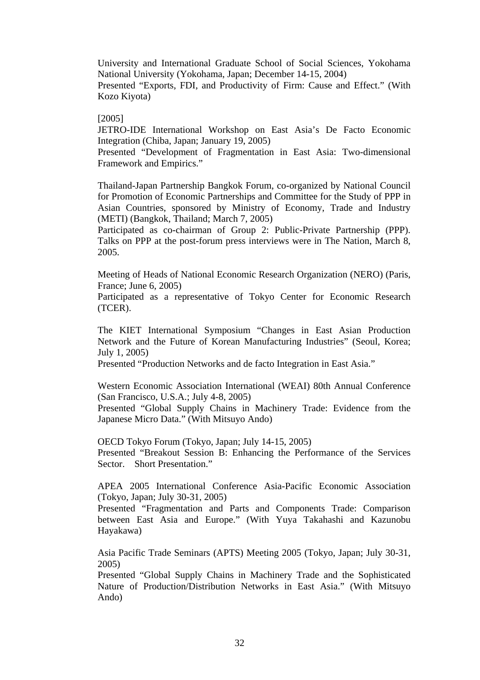University and International Graduate School of Social Sciences, Yokohama National University (Yokohama, Japan; December 14-15, 2004)

Presented "Exports, FDI, and Productivity of Firm: Cause and Effect." (With Kozo Kiyota)

### [2005]

JETRO-IDE International Workshop on East Asia's De Facto Economic Integration (Chiba, Japan; January 19, 2005)

Presented "Development of Fragmentation in East Asia: Two-dimensional Framework and Empirics."

Thailand-Japan Partnership Bangkok Forum, co-organized by National Council for Promotion of Economic Partnerships and Committee for the Study of PPP in Asian Countries, sponsored by Ministry of Economy, Trade and Industry (METI) (Bangkok, Thailand; March 7, 2005)

Participated as co-chairman of Group 2: Public-Private Partnership (PPP). Talks on PPP at the post-forum press interviews were in The Nation, March 8, 2005.

Meeting of Heads of National Economic Research Organization (NERO) (Paris, France; June 6, 2005)

Participated as a representative of Tokyo Center for Economic Research (TCER).

The KIET International Symposium "Changes in East Asian Production Network and the Future of Korean Manufacturing Industries" (Seoul, Korea; July 1, 2005)

Presented "Production Networks and de facto Integration in East Asia."

Western Economic Association International (WEAI) 80th Annual Conference (San Francisco, U.S.A.; July 4-8, 2005)

Presented "Global Supply Chains in Machinery Trade: Evidence from the Japanese Micro Data." (With Mitsuyo Ando)

OECD Tokyo Forum (Tokyo, Japan; July 14-15, 2005)

Presented "Breakout Session B: Enhancing the Performance of the Services Sector. Short Presentation."

APEA 2005 International Conference Asia-Pacific Economic Association (Tokyo, Japan; July 30-31, 2005)

Presented "Fragmentation and Parts and Components Trade: Comparison between East Asia and Europe." (With Yuya Takahashi and Kazunobu Hayakawa)

Asia Pacific Trade Seminars (APTS) Meeting 2005 (Tokyo, Japan; July 30-31, 2005)

Presented "Global Supply Chains in Machinery Trade and the Sophisticated Nature of Production/Distribution Networks in East Asia." (With Mitsuyo Ando)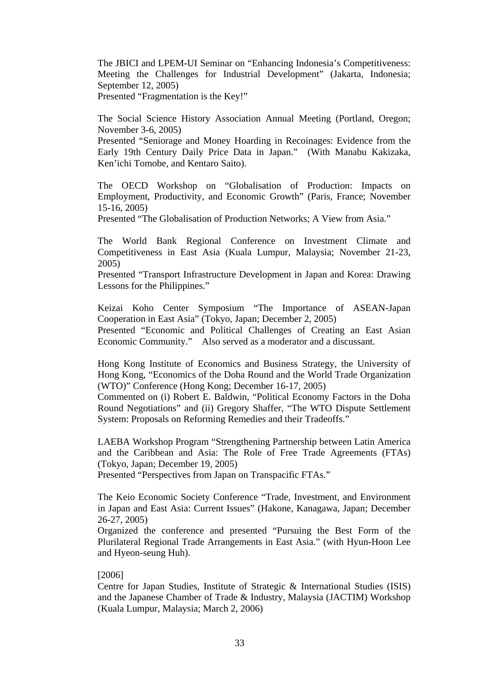The JBICI and LPEM-UI Seminar on "Enhancing Indonesia's Competitiveness: Meeting the Challenges for Industrial Development" (Jakarta, Indonesia; September 12, 2005) Presented "Fragmentation is the Key!"

The Social Science History Association Annual Meeting (Portland, Oregon; November 3-6, 2005)

Presented "Seniorage and Money Hoarding in Recoinages: Evidence from the Early 19th Century Daily Price Data in Japan." (With Manabu Kakizaka, Ken'ichi Tomobe, and Kentaro Saito).

The OECD Workshop on "Globalisation of Production: Impacts on Employment, Productivity, and Economic Growth" (Paris, France; November 15-16, 2005)

Presented "The Globalisation of Production Networks; A View from Asia."

The World Bank Regional Conference on Investment Climate and Competitiveness in East Asia (Kuala Lumpur, Malaysia; November 21-23, 2005)

Presented "Transport Infrastructure Development in Japan and Korea: Drawing Lessons for the Philippines."

Keizai Koho Center Symposium "The Importance of ASEAN-Japan Cooperation in East Asia" (Tokyo, Japan; December 2, 2005)

Presented "Economic and Political Challenges of Creating an East Asian Economic Community." Also served as a moderator and a discussant.

Hong Kong Institute of Economics and Business Strategy, the University of Hong Kong, "Economics of the Doha Round and the World Trade Organization (WTO)" Conference (Hong Kong; December 16-17, 2005)

Commented on (i) Robert E. Baldwin, "Political Economy Factors in the Doha Round Negotiations" and (ii) Gregory Shaffer, "The WTO Dispute Settlement System: Proposals on Reforming Remedies and their Tradeoffs."

LAEBA Workshop Program "Strengthening Partnership between Latin America and the Caribbean and Asia: The Role of Free Trade Agreements (FTAs) (Tokyo, Japan; December 19, 2005)

Presented "Perspectives from Japan on Transpacific FTAs."

The Keio Economic Society Conference "Trade, Investment, and Environment in Japan and East Asia: Current Issues" (Hakone, Kanagawa, Japan; December 26-27, 2005)

Organized the conference and presented "Pursuing the Best Form of the Plurilateral Regional Trade Arrangements in East Asia." (with Hyun-Hoon Lee and Hyeon-seung Huh).

## [2006]

Centre for Japan Studies, Institute of Strategic & International Studies (ISIS) and the Japanese Chamber of Trade & Industry, Malaysia (JACTIM) Workshop (Kuala Lumpur, Malaysia; March 2, 2006)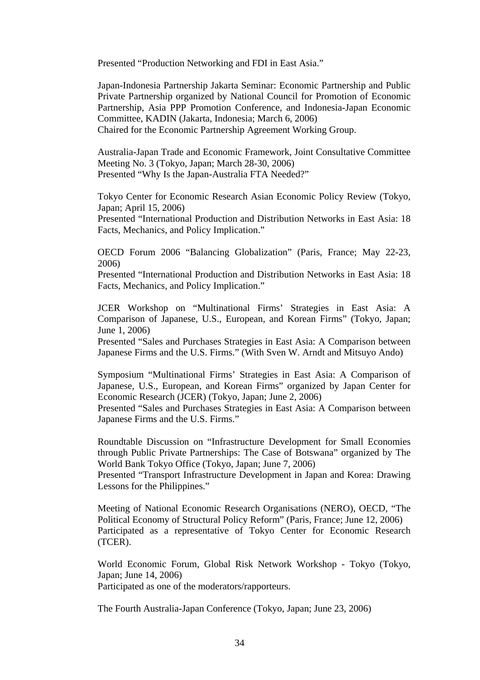Presented "Production Networking and FDI in East Asia."

Japan-Indonesia Partnership Jakarta Seminar: Economic Partnership and Public Private Partnership organized by National Council for Promotion of Economic Partnership, Asia PPP Promotion Conference, and Indonesia-Japan Economic Committee, KADIN (Jakarta, Indonesia; March 6, 2006) Chaired for the Economic Partnership Agreement Working Group.

Australia-Japan Trade and Economic Framework, Joint Consultative Committee Meeting No. 3 (Tokyo, Japan; March 28-30, 2006) Presented "Why Is the Japan-Australia FTA Needed?"

Tokyo Center for Economic Research Asian Economic Policy Review (Tokyo, Japan; April 15, 2006)

Presented "International Production and Distribution Networks in East Asia: 18 Facts, Mechanics, and Policy Implication."

OECD Forum 2006 "Balancing Globalization" (Paris, France; May 22-23, 2006)

Presented "International Production and Distribution Networks in East Asia: 18 Facts, Mechanics, and Policy Implication."

JCER Workshop on "Multinational Firms' Strategies in East Asia: A Comparison of Japanese, U.S., European, and Korean Firms" (Tokyo, Japan; June 1, 2006)

Presented "Sales and Purchases Strategies in East Asia: A Comparison between Japanese Firms and the U.S. Firms." (With Sven W. Arndt and Mitsuyo Ando)

Symposium "Multinational Firms' Strategies in East Asia: A Comparison of Japanese, U.S., European, and Korean Firms" organized by Japan Center for Economic Research (JCER) (Tokyo, Japan; June 2, 2006) Presented "Sales and Purchases Strategies in East Asia: A Comparison between Japanese Firms and the U.S. Firms."

Roundtable Discussion on "Infrastructure Development for Small Economies through Public Private Partnerships: The Case of Botswana" organized by The World Bank Tokyo Office (Tokyo, Japan; June 7, 2006)

Presented "Transport Infrastructure Development in Japan and Korea: Drawing Lessons for the Philippines."

Meeting of National Economic Research Organisations (NERO), OECD, "The Political Economy of Structural Policy Reform" (Paris, France; June 12, 2006) Participated as a representative of Tokyo Center for Economic Research (TCER).

World Economic Forum, Global Risk Network Workshop - Tokyo (Tokyo, Japan; June 14, 2006) Participated as one of the moderators/rapporteurs.

The Fourth Australia-Japan Conference (Tokyo, Japan; June 23, 2006)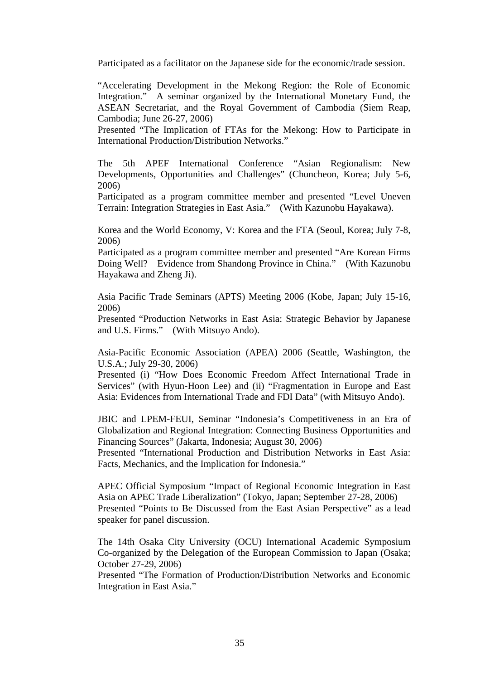Participated as a facilitator on the Japanese side for the economic/trade session.

"Accelerating Development in the Mekong Region: the Role of Economic Integration." A seminar organized by the International Monetary Fund, the ASEAN Secretariat, and the Royal Government of Cambodia (Siem Reap, Cambodia; June 26-27, 2006)

Presented "The Implication of FTAs for the Mekong: How to Participate in International Production/Distribution Networks."

The 5th APEF International Conference "Asian Regionalism: New Developments, Opportunities and Challenges" (Chuncheon, Korea; July 5-6, 2006)

Participated as a program committee member and presented "Level Uneven Terrain: Integration Strategies in East Asia." (With Kazunobu Hayakawa).

Korea and the World Economy, V: Korea and the FTA (Seoul, Korea; July 7-8, 2006)

Participated as a program committee member and presented "Are Korean Firms Doing Well? Evidence from Shandong Province in China." (With Kazunobu Hayakawa and Zheng Ji).

Asia Pacific Trade Seminars (APTS) Meeting 2006 (Kobe, Japan; July 15-16, 2006)

Presented "Production Networks in East Asia: Strategic Behavior by Japanese and U.S. Firms." (With Mitsuyo Ando).

Asia-Pacific Economic Association (APEA) 2006 (Seattle, Washington, the U.S.A.; July 29-30, 2006)

Presented (i) "How Does Economic Freedom Affect International Trade in Services" (with Hyun-Hoon Lee) and (ii) "Fragmentation in Europe and East Asia: Evidences from International Trade and FDI Data" (with Mitsuyo Ando).

JBIC and LPEM-FEUI, Seminar "Indonesia's Competitiveness in an Era of Globalization and Regional Integration: Connecting Business Opportunities and Financing Sources" (Jakarta, Indonesia; August 30, 2006)

Presented "International Production and Distribution Networks in East Asia: Facts, Mechanics, and the Implication for Indonesia."

APEC Official Symposium "Impact of Regional Economic Integration in East Asia on APEC Trade Liberalization" (Tokyo, Japan; September 27-28, 2006) Presented "Points to Be Discussed from the East Asian Perspective" as a lead speaker for panel discussion.

The 14th Osaka City University (OCU) International Academic Symposium Co-organized by the Delegation of the European Commission to Japan (Osaka; October 27-29, 2006)

Presented "The Formation of Production/Distribution Networks and Economic Integration in East Asia."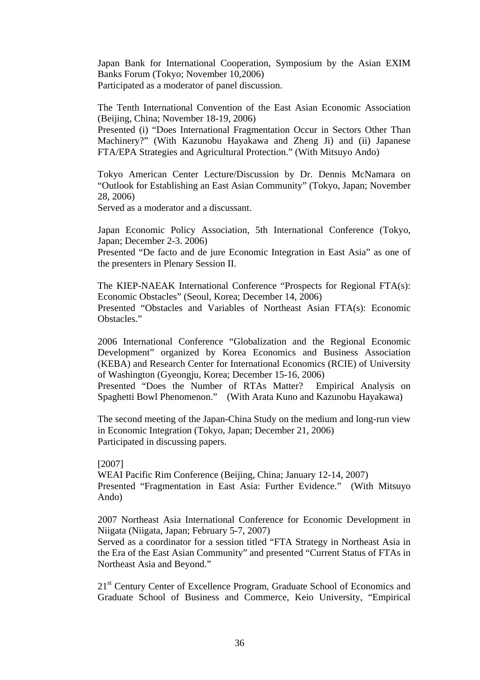Japan Bank for International Cooperation, Symposium by the Asian EXIM Banks Forum (Tokyo; November 10,2006) Participated as a moderator of panel discussion.

The Tenth International Convention of the East Asian Economic Association (Beijing, China; November 18-19, 2006)

Presented (i) "Does International Fragmentation Occur in Sectors Other Than Machinery?" (With Kazunobu Hayakawa and Zheng Ji) and (ii) Japanese FTA/EPA Strategies and Agricultural Protection." (With Mitsuyo Ando)

Tokyo American Center Lecture/Discussion by Dr. Dennis McNamara on "Outlook for Establishing an East Asian Community" (Tokyo, Japan; November 28, 2006)

Served as a moderator and a discussant.

Japan Economic Policy Association, 5th International Conference (Tokyo, Japan; December 2-3. 2006)

Presented "De facto and de jure Economic Integration in East Asia" as one of the presenters in Plenary Session II.

The KIEP-NAEAK International Conference "Prospects for Regional FTA(s): Economic Obstacles" (Seoul, Korea; December 14, 2006) Presented "Obstacles and Variables of Northeast Asian FTA(s): Economic Obstacles."

2006 International Conference "Globalization and the Regional Economic Development" organized by Korea Economics and Business Association (KEBA) and Research Center for International Economics (RCIE) of University of Washington (Gyeongju, Korea; December 15-16, 2006)

Presented "Does the Number of RTAs Matter? Empirical Analysis on Spaghetti Bowl Phenomenon." (With Arata Kuno and Kazunobu Hayakawa)

The second meeting of the Japan-China Study on the medium and long-run view in Economic Integration (Tokyo, Japan; December 21, 2006) Participated in discussing papers.

[2007] WEAI Pacific Rim Conference (Beijing, China; January 12-14, 2007) Presented "Fragmentation in East Asia: Further Evidence." (With Mitsuyo Ando)

2007 Northeast Asia International Conference for Economic Development in Niigata (Niigata, Japan; February 5-7, 2007)

Served as a coordinator for a session titled "FTA Strategy in Northeast Asia in the Era of the East Asian Community" and presented "Current Status of FTAs in Northeast Asia and Beyond."

21<sup>st</sup> Century Center of Excellence Program, Graduate School of Economics and Graduate School of Business and Commerce, Keio University, "Empirical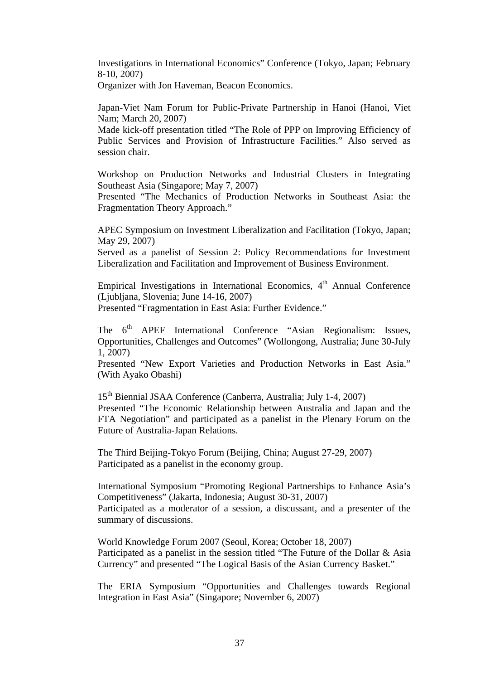Investigations in International Economics" Conference (Tokyo, Japan; February 8-10, 2007)

Organizer with Jon Haveman, Beacon Economics.

Japan-Viet Nam Forum for Public-Private Partnership in Hanoi (Hanoi, Viet Nam; March 20, 2007)

Made kick-off presentation titled "The Role of PPP on Improving Efficiency of Public Services and Provision of Infrastructure Facilities." Also served as session chair.

Workshop on Production Networks and Industrial Clusters in Integrating Southeast Asia (Singapore; May 7, 2007)

Presented "The Mechanics of Production Networks in Southeast Asia: the Fragmentation Theory Approach."

APEC Symposium on Investment Liberalization and Facilitation (Tokyo, Japan; May 29, 2007)

Served as a panelist of Session 2: Policy Recommendations for Investment Liberalization and Facilitation and Improvement of Business Environment.

Empirical Investigations in International Economics, 4<sup>th</sup> Annual Conference (Ljubljana, Slovenia; June 14-16, 2007)

Presented "Fragmentation in East Asia: Further Evidence."

The 6<sup>th</sup> APEF International Conference "Asian Regionalism: Issues, Opportunities, Challenges and Outcomes" (Wollongong, Australia; June 30-July 1, 2007)

Presented "New Export Varieties and Production Networks in East Asia." (With Ayako Obashi)

15th Biennial JSAA Conference (Canberra, Australia; July 1-4, 2007) Presented "The Economic Relationship between Australia and Japan and the FTA Negotiation" and participated as a panelist in the Plenary Forum on the Future of Australia-Japan Relations.

The Third Beijing-Tokyo Forum (Beijing, China; August 27-29, 2007) Participated as a panelist in the economy group.

International Symposium "Promoting Regional Partnerships to Enhance Asia's Competitiveness" (Jakarta, Indonesia; August 30-31, 2007) Participated as a moderator of a session, a discussant, and a presenter of the summary of discussions.

World Knowledge Forum 2007 (Seoul, Korea; October 18, 2007) Participated as a panelist in the session titled "The Future of the Dollar & Asia Currency" and presented "The Logical Basis of the Asian Currency Basket."

The ERIA Symposium "Opportunities and Challenges towards Regional Integration in East Asia" (Singapore; November 6, 2007)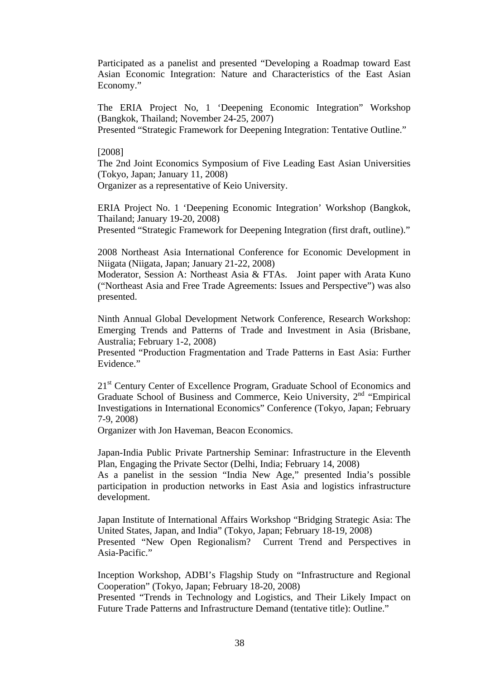Participated as a panelist and presented "Developing a Roadmap toward East Asian Economic Integration: Nature and Characteristics of the East Asian Economy."

The ERIA Project No, 1 'Deepening Economic Integration" Workshop (Bangkok, Thailand; November 24-25, 2007) Presented "Strategic Framework for Deepening Integration: Tentative Outline."

#### [2008]

The 2nd Joint Economics Symposium of Five Leading East Asian Universities (Tokyo, Japan; January 11, 2008) Organizer as a representative of Keio University.

ERIA Project No. 1 'Deepening Economic Integration' Workshop (Bangkok, Thailand; January 19-20, 2008)

Presented "Strategic Framework for Deepening Integration (first draft, outline)."

2008 Northeast Asia International Conference for Economic Development in Niigata (Niigata, Japan; January 21-22, 2008)

Moderator, Session A: Northeast Asia & FTAs. Joint paper with Arata Kuno ("Northeast Asia and Free Trade Agreements: Issues and Perspective") was also presented.

Ninth Annual Global Development Network Conference, Research Workshop: Emerging Trends and Patterns of Trade and Investment in Asia (Brisbane, Australia; February 1-2, 2008)

Presented "Production Fragmentation and Trade Patterns in East Asia: Further Evidence."

21<sup>st</sup> Century Center of Excellence Program, Graduate School of Economics and Graduate School of Business and Commerce, Keio University,  $2<sup>nd</sup>$  "Empirical Investigations in International Economics" Conference (Tokyo, Japan; February 7-9, 2008)

Organizer with Jon Haveman, Beacon Economics.

Japan-India Public Private Partnership Seminar: Infrastructure in the Eleventh Plan, Engaging the Private Sector (Delhi, India; February 14, 2008)

As a panelist in the session "India New Age," presented India's possible participation in production networks in East Asia and logistics infrastructure development.

Japan Institute of International Affairs Workshop "Bridging Strategic Asia: The United States, Japan, and India" (Tokyo, Japan; February 18-19, 2008) Presented "New Open Regionalism? Current Trend and Perspectives in Asia-Pacific."

Inception Workshop, ADBI's Flagship Study on "Infrastructure and Regional Cooperation" (Tokyo, Japan; February 18-20, 2008)

Presented "Trends in Technology and Logistics, and Their Likely Impact on Future Trade Patterns and Infrastructure Demand (tentative title): Outline."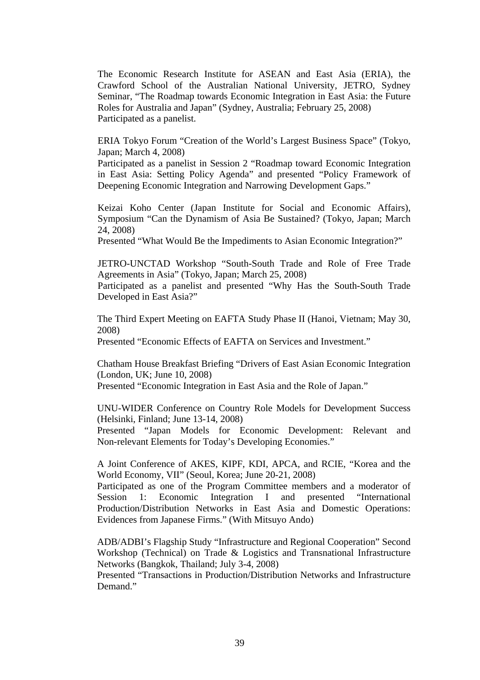The Economic Research Institute for ASEAN and East Asia (ERIA), the Crawford School of the Australian National University, JETRO, Sydney Seminar, "The Roadmap towards Economic Integration in East Asia: the Future Roles for Australia and Japan" (Sydney, Australia; February 25, 2008) Participated as a panelist.

ERIA Tokyo Forum "Creation of the World's Largest Business Space" (Tokyo, Japan; March 4, 2008)

Participated as a panelist in Session 2 "Roadmap toward Economic Integration in East Asia: Setting Policy Agenda" and presented "Policy Framework of Deepening Economic Integration and Narrowing Development Gaps."

Keizai Koho Center (Japan Institute for Social and Economic Affairs), Symposium "Can the Dynamism of Asia Be Sustained? (Tokyo, Japan; March 24, 2008)

Presented "What Would Be the Impediments to Asian Economic Integration?"

JETRO-UNCTAD Workshop "South-South Trade and Role of Free Trade Agreements in Asia" (Tokyo, Japan; March 25, 2008)

Participated as a panelist and presented "Why Has the South-South Trade Developed in East Asia?"

The Third Expert Meeting on EAFTA Study Phase II (Hanoi, Vietnam; May 30, 2008)

Presented "Economic Effects of EAFTA on Services and Investment."

Chatham House Breakfast Briefing "Drivers of East Asian Economic Integration (London, UK; June 10, 2008)

Presented "Economic Integration in East Asia and the Role of Japan."

UNU-WIDER Conference on Country Role Models for Development Success (Helsinki, Finland; June 13-14, 2008)

Presented "Japan Models for Economic Development: Relevant and Non-relevant Elements for Today's Developing Economies."

A Joint Conference of AKES, KIPF, KDI, APCA, and RCIE, "Korea and the World Economy, VII" (Seoul, Korea; June 20-21, 2008)

Participated as one of the Program Committee members and a moderator of Session 1: Economic Integration I and presented "International Production/Distribution Networks in East Asia and Domestic Operations: Evidences from Japanese Firms." (With Mitsuyo Ando)

ADB/ADBI's Flagship Study "Infrastructure and Regional Cooperation" Second Workshop (Technical) on Trade & Logistics and Transnational Infrastructure Networks (Bangkok, Thailand; July 3-4, 2008)

Presented "Transactions in Production/Distribution Networks and Infrastructure Demand."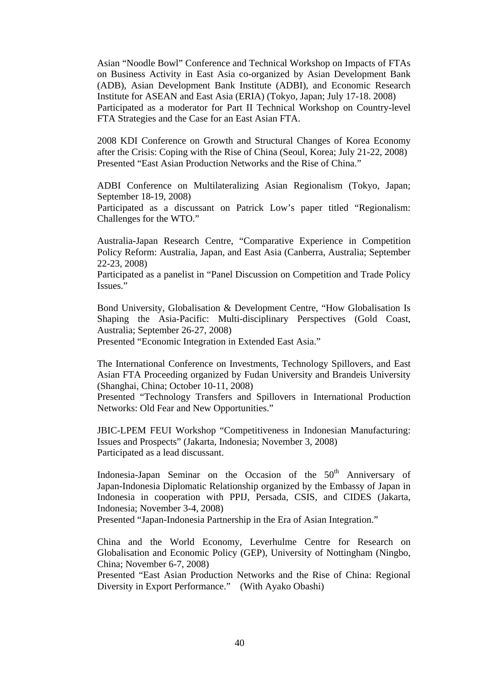Asian "Noodle Bowl" Conference and Technical Workshop on Impacts of FTAs on Business Activity in East Asia co-organized by Asian Development Bank (ADB), Asian Development Bank Institute (ADBI), and Economic Research Institute for ASEAN and East Asia (ERIA) (Tokyo, Japan; July 17-18. 2008) Participated as a moderator for Part II Technical Workshop on Country-level FTA Strategies and the Case for an East Asian FTA.

2008 KDI Conference on Growth and Structural Changes of Korea Economy after the Crisis: Coping with the Rise of China (Seoul, Korea; July 21-22, 2008) Presented "East Asian Production Networks and the Rise of China."

ADBI Conference on Multilateralizing Asian Regionalism (Tokyo, Japan; September 18-19, 2008)

Participated as a discussant on Patrick Low's paper titled "Regionalism: Challenges for the WTO."

Australia-Japan Research Centre, "Comparative Experience in Competition Policy Reform: Australia, Japan, and East Asia (Canberra, Australia; September 22-23, 2008)

Participated as a panelist in "Panel Discussion on Competition and Trade Policy Issues."

Bond University, Globalisation & Development Centre, "How Globalisation Is Shaping the Asia-Pacific: Multi-disciplinary Perspectives (Gold Coast, Australia; September 26-27, 2008)

Presented "Economic Integration in Extended East Asia."

The International Conference on Investments, Technology Spillovers, and East Asian FTA Proceeding organized by Fudan University and Brandeis University (Shanghai, China; October 10-11, 2008)

Presented "Technology Transfers and Spillovers in International Production Networks: Old Fear and New Opportunities."

JBIC-LPEM FEUI Workshop "Competitiveness in Indonesian Manufacturing: Issues and Prospects" (Jakarta, Indonesia; November 3, 2008) Participated as a lead discussant.

Indonesia-Japan Seminar on the Occasion of the  $50<sup>th</sup>$  Anniversary of Japan-Indonesia Diplomatic Relationship organized by the Embassy of Japan in Indonesia in cooperation with PPIJ, Persada, CSIS, and CIDES (Jakarta, Indonesia; November 3-4, 2008)

Presented "Japan-Indonesia Partnership in the Era of Asian Integration."

China and the World Economy, Leverhulme Centre for Research on Globalisation and Economic Policy (GEP), University of Nottingham (Ningbo, China; November 6-7, 2008)

Presented "East Asian Production Networks and the Rise of China: Regional Diversity in Export Performance." (With Ayako Obashi)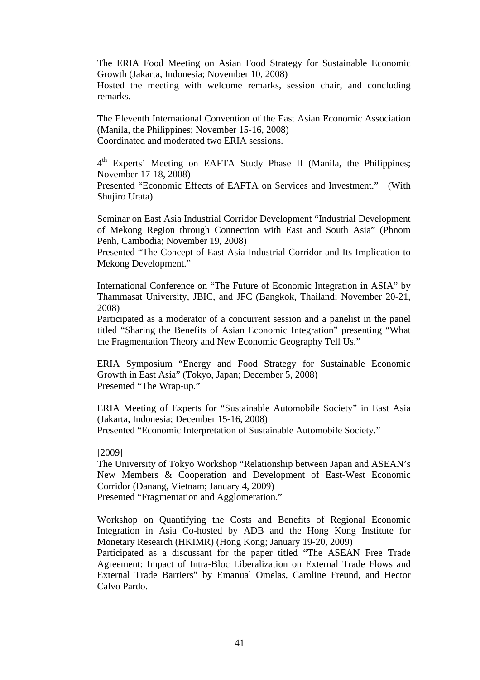The ERIA Food Meeting on Asian Food Strategy for Sustainable Economic Growth (Jakarta, Indonesia; November 10, 2008)

Hosted the meeting with welcome remarks, session chair, and concluding remarks.

The Eleventh International Convention of the East Asian Economic Association (Manila, the Philippines; November 15-16, 2008) Coordinated and moderated two ERIA sessions.

4<sup>th</sup> Experts' Meeting on EAFTA Study Phase II (Manila, the Philippines; November 17-18, 2008)

Presented "Economic Effects of EAFTA on Services and Investment." (With Shujiro Urata)

Seminar on East Asia Industrial Corridor Development "Industrial Development of Mekong Region through Connection with East and South Asia" (Phnom Penh, Cambodia; November 19, 2008)

Presented "The Concept of East Asia Industrial Corridor and Its Implication to Mekong Development."

International Conference on "The Future of Economic Integration in ASIA" by Thammasat University, JBIC, and JFC (Bangkok, Thailand; November 20-21, 2008)

Participated as a moderator of a concurrent session and a panelist in the panel titled "Sharing the Benefits of Asian Economic Integration" presenting "What the Fragmentation Theory and New Economic Geography Tell Us."

ERIA Symposium "Energy and Food Strategy for Sustainable Economic Growth in East Asia" (Tokyo, Japan; December 5, 2008) Presented "The Wrap-up."

ERIA Meeting of Experts for "Sustainable Automobile Society" in East Asia (Jakarta, Indonesia; December 15-16, 2008) Presented "Economic Interpretation of Sustainable Automobile Society."

[2009]

The University of Tokyo Workshop "Relationship between Japan and ASEAN's New Members & Cooperation and Development of East-West Economic Corridor (Danang, Vietnam; January 4, 2009) Presented "Fragmentation and Agglomeration."

Workshop on Quantifying the Costs and Benefits of Regional Economic Integration in Asia Co-hosted by ADB and the Hong Kong Institute for Monetary Research (HKIMR) (Hong Kong; January 19-20, 2009)

Participated as a discussant for the paper titled "The ASEAN Free Trade Agreement: Impact of Intra-Bloc Liberalization on External Trade Flows and External Trade Barriers" by Emanual Omelas, Caroline Freund, and Hector Calvo Pardo.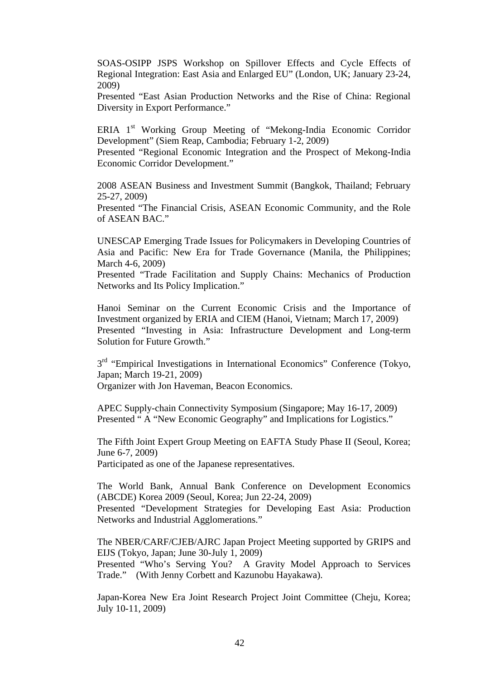SOAS-OSIPP JSPS Workshop on Spillover Effects and Cycle Effects of Regional Integration: East Asia and Enlarged EU" (London, UK; January 23-24, 2009)

Presented "East Asian Production Networks and the Rise of China: Regional Diversity in Export Performance."

ERIA 1<sup>st</sup> Working Group Meeting of "Mekong-India Economic Corridor Development" (Siem Reap, Cambodia; February 1-2, 2009)

Presented "Regional Economic Integration and the Prospect of Mekong-India Economic Corridor Development."

2008 ASEAN Business and Investment Summit (Bangkok, Thailand; February 25-27, 2009)

Presented "The Financial Crisis, ASEAN Economic Community, and the Role of ASEAN BAC."

UNESCAP Emerging Trade Issues for Policymakers in Developing Countries of Asia and Pacific: New Era for Trade Governance (Manila, the Philippines; March 4-6, 2009)

Presented "Trade Facilitation and Supply Chains: Mechanics of Production Networks and Its Policy Implication."

Hanoi Seminar on the Current Economic Crisis and the Importance of Investment organized by ERIA and CIEM (Hanoi, Vietnam; March 17, 2009) Presented "Investing in Asia: Infrastructure Development and Long-term Solution for Future Growth."

3<sup>rd</sup> "Empirical Investigations in International Economics" Conference (Tokyo, Japan; March 19-21, 2009) Organizer with Jon Haveman, Beacon Economics.

APEC Supply-chain Connectivity Symposium (Singapore; May 16-17, 2009) Presented " A "New Economic Geography" and Implications for Logistics."

The Fifth Joint Expert Group Meeting on EAFTA Study Phase II (Seoul, Korea; June 6-7, 2009) Participated as one of the Japanese representatives.

The World Bank, Annual Bank Conference on Development Economics (ABCDE) Korea 2009 (Seoul, Korea; Jun 22-24, 2009) Presented "Development Strategies for Developing East Asia: Production Networks and Industrial Agglomerations."

The NBER/CARF/CJEB/AJRC Japan Project Meeting supported by GRIPS and EIJS (Tokyo, Japan; June 30-July 1, 2009) Presented "Who's Serving You? A Gravity Model Approach to Services Trade." (With Jenny Corbett and Kazunobu Hayakawa).

Japan-Korea New Era Joint Research Project Joint Committee (Cheju, Korea; July 10-11, 2009)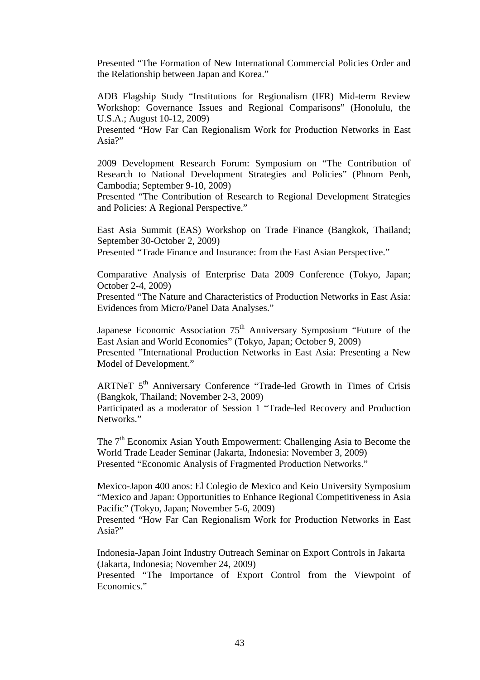Presented "The Formation of New International Commercial Policies Order and the Relationship between Japan and Korea."

ADB Flagship Study "Institutions for Regionalism (IFR) Mid-term Review Workshop: Governance Issues and Regional Comparisons" (Honolulu, the U.S.A.; August 10-12, 2009)

Presented "How Far Can Regionalism Work for Production Networks in East Asia?"

2009 Development Research Forum: Symposium on "The Contribution of Research to National Development Strategies and Policies" (Phnom Penh, Cambodia; September 9-10, 2009)

Presented "The Contribution of Research to Regional Development Strategies and Policies: A Regional Perspective."

East Asia Summit (EAS) Workshop on Trade Finance (Bangkok, Thailand; September 30-October 2, 2009)

Presented "Trade Finance and Insurance: from the East Asian Perspective."

Comparative Analysis of Enterprise Data 2009 Conference (Tokyo, Japan; October 2-4, 2009)

Presented "The Nature and Characteristics of Production Networks in East Asia: Evidences from Micro/Panel Data Analyses."

Japanese Economic Association 75<sup>th</sup> Anniversary Symposium "Future of the East Asian and World Economies" (Tokyo, Japan; October 9, 2009) Presented "International Production Networks in East Asia: Presenting a New Model of Development."

ARTNeT 5<sup>th</sup> Anniversary Conference "Trade-led Growth in Times of Crisis (Bangkok, Thailand; November 2-3, 2009)

Participated as a moderator of Session 1 "Trade-led Recovery and Production Networks."

The  $7<sup>th</sup>$  Economix Asian Youth Empowerment: Challenging Asia to Become the World Trade Leader Seminar (Jakarta, Indonesia: November 3, 2009) Presented "Economic Analysis of Fragmented Production Networks."

Mexico-Japon 400 anos: El Colegio de Mexico and Keio University Symposium "Mexico and Japan: Opportunities to Enhance Regional Competitiveness in Asia Pacific" (Tokyo, Japan; November 5-6, 2009)

Presented "How Far Can Regionalism Work for Production Networks in East Asia?"

Indonesia-Japan Joint Industry Outreach Seminar on Export Controls in Jakarta (Jakarta, Indonesia; November 24, 2009)

Presented "The Importance of Export Control from the Viewpoint of Economics."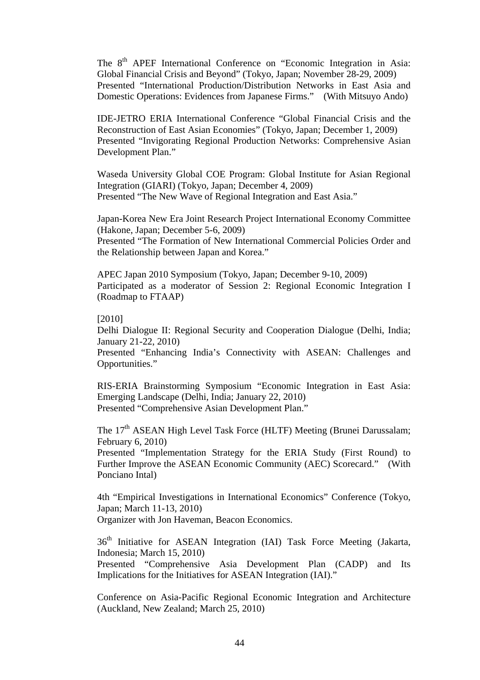The 8<sup>th</sup> APEF International Conference on "Economic Integration in Asia: Global Financial Crisis and Beyond" (Tokyo, Japan; November 28-29, 2009) Presented "International Production/Distribution Networks in East Asia and Domestic Operations: Evidences from Japanese Firms." (With Mitsuyo Ando)

IDE-JETRO ERIA International Conference "Global Financial Crisis and the Reconstruction of East Asian Economies" (Tokyo, Japan; December 1, 2009) Presented "Invigorating Regional Production Networks: Comprehensive Asian Development Plan."

Waseda University Global COE Program: Global Institute for Asian Regional Integration (GIARI) (Tokyo, Japan; December 4, 2009) Presented "The New Wave of Regional Integration and East Asia."

Japan-Korea New Era Joint Research Project International Economy Committee (Hakone, Japan; December 5-6, 2009)

Presented "The Formation of New International Commercial Policies Order and the Relationship between Japan and Korea."

APEC Japan 2010 Symposium (Tokyo, Japan; December 9-10, 2009) Participated as a moderator of Session 2: Regional Economic Integration I (Roadmap to FTAAP)

### [2010]

Delhi Dialogue II: Regional Security and Cooperation Dialogue (Delhi, India; January 21-22, 2010)

Presented "Enhancing India's Connectivity with ASEAN: Challenges and Opportunities."

RIS-ERIA Brainstorming Symposium "Economic Integration in East Asia: Emerging Landscape (Delhi, India; January 22, 2010) Presented "Comprehensive Asian Development Plan."

The 17<sup>th</sup> ASEAN High Level Task Force (HLTF) Meeting (Brunei Darussalam; February 6, 2010)

Presented "Implementation Strategy for the ERIA Study (First Round) to Further Improve the ASEAN Economic Community (AEC) Scorecard." (With Ponciano Intal)

4th "Empirical Investigations in International Economics" Conference (Tokyo, Japan; March 11-13, 2010) Organizer with Jon Haveman, Beacon Economics.

36<sup>th</sup> Initiative for ASEAN Integration (IAI) Task Force Meeting (Jakarta, Indonesia; March 15, 2010)

Presented "Comprehensive Asia Development Plan (CADP) and Its Implications for the Initiatives for ASEAN Integration (IAI)."

Conference on Asia-Pacific Regional Economic Integration and Architecture (Auckland, New Zealand; March 25, 2010)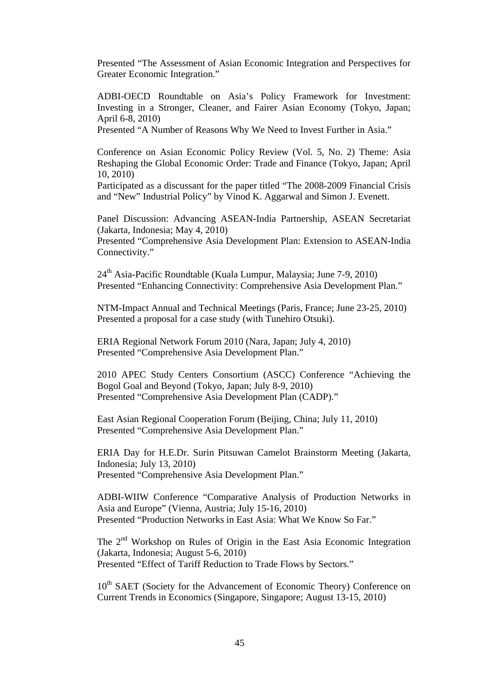Presented "The Assessment of Asian Economic Integration and Perspectives for Greater Economic Integration."

ADBI-OECD Roundtable on Asia's Policy Framework for Investment: Investing in a Stronger, Cleaner, and Fairer Asian Economy (Tokyo, Japan; April 6-8, 2010)

Presented "A Number of Reasons Why We Need to Invest Further in Asia."

Conference on Asian Economic Policy Review (Vol. 5, No. 2) Theme: Asia Reshaping the Global Economic Order: Trade and Finance (Tokyo, Japan; April 10, 2010)

Participated as a discussant for the paper titled "The 2008-2009 Financial Crisis and "New" Industrial Policy" by Vinod K. Aggarwal and Simon J. Evenett.

Panel Discussion: Advancing ASEAN-India Partnership, ASEAN Secretariat (Jakarta, Indonesia; May 4, 2010)

Presented "Comprehensive Asia Development Plan: Extension to ASEAN-India Connectivity."

24<sup>th</sup> Asia-Pacific Roundtable (Kuala Lumpur, Malaysia; June 7-9, 2010) Presented "Enhancing Connectivity: Comprehensive Asia Development Plan."

NTM-Impact Annual and Technical Meetings (Paris, France; June 23-25, 2010) Presented a proposal for a case study (with Tunehiro Otsuki).

ERIA Regional Network Forum 2010 (Nara, Japan; July 4, 2010) Presented "Comprehensive Asia Development Plan."

2010 APEC Study Centers Consortium (ASCC) Conference "Achieving the Bogol Goal and Beyond (Tokyo, Japan; July 8-9, 2010) Presented "Comprehensive Asia Development Plan (CADP)."

East Asian Regional Cooperation Forum (Beijing, China; July 11, 2010) Presented "Comprehensive Asia Development Plan."

ERIA Day for H.E.Dr. Surin Pitsuwan Camelot Brainstorm Meeting (Jakarta, Indonesia; July 13, 2010) Presented "Comprehensive Asia Development Plan."

ADBI-WIIW Conference "Comparative Analysis of Production Networks in Asia and Europe" (Vienna, Austria; July 15-16, 2010) Presented "Production Networks in East Asia: What We Know So Far."

The 2<sup>nd</sup> Workshop on Rules of Origin in the East Asia Economic Integration (Jakarta, Indonesia; August 5-6, 2010) Presented "Effect of Tariff Reduction to Trade Flows by Sectors."

10<sup>th</sup> SAET (Society for the Advancement of Economic Theory) Conference on Current Trends in Economics (Singapore, Singapore; August 13-15, 2010)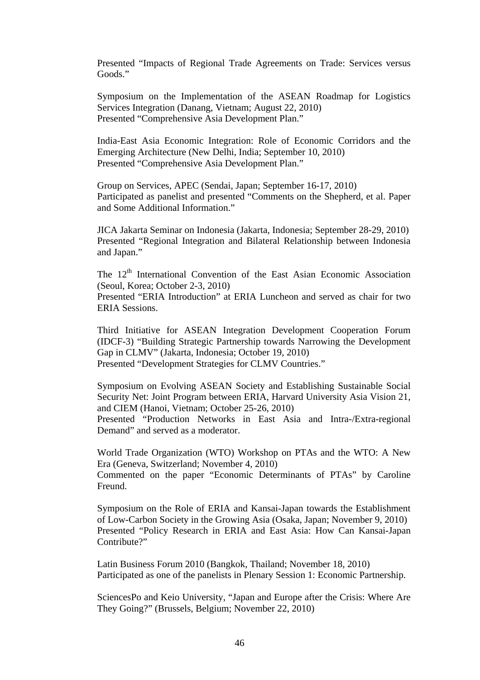Presented "Impacts of Regional Trade Agreements on Trade: Services versus Goods."

Symposium on the Implementation of the ASEAN Roadmap for Logistics Services Integration (Danang, Vietnam; August 22, 2010) Presented "Comprehensive Asia Development Plan."

India-East Asia Economic Integration: Role of Economic Corridors and the Emerging Architecture (New Delhi, India; September 10, 2010) Presented "Comprehensive Asia Development Plan."

Group on Services, APEC (Sendai, Japan; September 16-17, 2010) Participated as panelist and presented "Comments on the Shepherd, et al. Paper and Some Additional Information."

JICA Jakarta Seminar on Indonesia (Jakarta, Indonesia; September 28-29, 2010) Presented "Regional Integration and Bilateral Relationship between Indonesia and Japan."

The 12<sup>th</sup> International Convention of the East Asian Economic Association (Seoul, Korea; October 2-3, 2010) Presented "ERIA Introduction" at ERIA Luncheon and served as chair for two ERIA Sessions.

Third Initiative for ASEAN Integration Development Cooperation Forum (IDCF-3) "Building Strategic Partnership towards Narrowing the Development Gap in CLMV" (Jakarta, Indonesia; October 19, 2010)

Presented "Development Strategies for CLMV Countries."

Symposium on Evolving ASEAN Society and Establishing Sustainable Social Security Net: Joint Program between ERIA, Harvard University Asia Vision 21, and CIEM (Hanoi, Vietnam; October 25-26, 2010)

Presented "Production Networks in East Asia and Intra-/Extra-regional Demand" and served as a moderator.

World Trade Organization (WTO) Workshop on PTAs and the WTO: A New Era (Geneva, Switzerland; November 4, 2010)

Commented on the paper "Economic Determinants of PTAs" by Caroline Freund.

Symposium on the Role of ERIA and Kansai-Japan towards the Establishment of Low-Carbon Society in the Growing Asia (Osaka, Japan; November 9, 2010) Presented "Policy Research in ERIA and East Asia: How Can Kansai-Japan Contribute?"

Latin Business Forum 2010 (Bangkok, Thailand; November 18, 2010) Participated as one of the panelists in Plenary Session 1: Economic Partnership.

SciencesPo and Keio University, "Japan and Europe after the Crisis: Where Are They Going?" (Brussels, Belgium; November 22, 2010)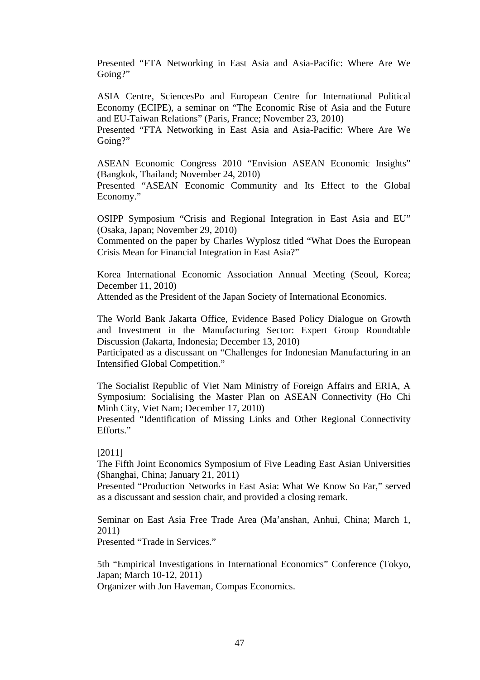Presented "FTA Networking in East Asia and Asia-Pacific: Where Are We Going?"

ASIA Centre, SciencesPo and European Centre for International Political Economy (ECIPE), a seminar on "The Economic Rise of Asia and the Future and EU-Taiwan Relations" (Paris, France; November 23, 2010)

Presented "FTA Networking in East Asia and Asia-Pacific: Where Are We Going?"

ASEAN Economic Congress 2010 "Envision ASEAN Economic Insights" (Bangkok, Thailand; November 24, 2010)

Presented "ASEAN Economic Community and Its Effect to the Global Economy."

OSIPP Symposium "Crisis and Regional Integration in East Asia and EU" (Osaka, Japan; November 29, 2010)

Commented on the paper by Charles Wyplosz titled "What Does the European Crisis Mean for Financial Integration in East Asia?"

Korea International Economic Association Annual Meeting (Seoul, Korea; December 11, 2010)

Attended as the President of the Japan Society of International Economics.

The World Bank Jakarta Office, Evidence Based Policy Dialogue on Growth and Investment in the Manufacturing Sector: Expert Group Roundtable Discussion (Jakarta, Indonesia; December 13, 2010)

Participated as a discussant on "Challenges for Indonesian Manufacturing in an Intensified Global Competition."

The Socialist Republic of Viet Nam Ministry of Foreign Affairs and ERIA, A Symposium: Socialising the Master Plan on ASEAN Connectivity (Ho Chi Minh City, Viet Nam; December 17, 2010)

Presented "Identification of Missing Links and Other Regional Connectivity Efforts."

[2011]

The Fifth Joint Economics Symposium of Five Leading East Asian Universities (Shanghai, China; January 21, 2011)

Presented "Production Networks in East Asia: What We Know So Far," served as a discussant and session chair, and provided a closing remark.

Seminar on East Asia Free Trade Area (Ma'anshan, Anhui, China; March 1, 2011)

Presented "Trade in Services."

5th "Empirical Investigations in International Economics" Conference (Tokyo, Japan; March 10-12, 2011) Organizer with Jon Haveman, Compas Economics.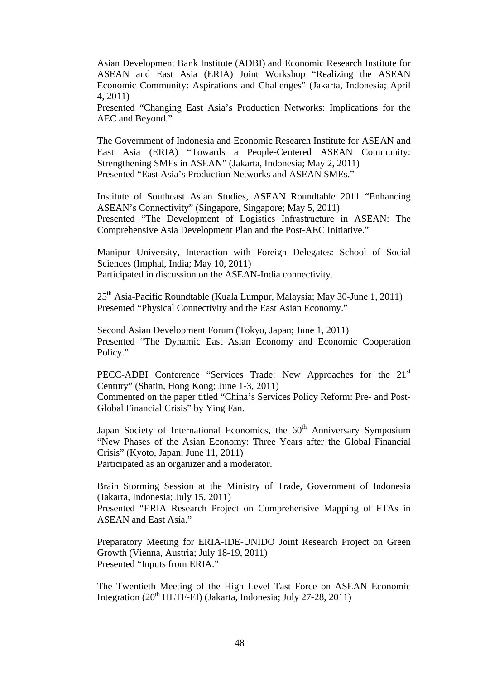Asian Development Bank Institute (ADBI) and Economic Research Institute for ASEAN and East Asia (ERIA) Joint Workshop "Realizing the ASEAN Economic Community: Aspirations and Challenges" (Jakarta, Indonesia; April 4, 2011)

Presented "Changing East Asia's Production Networks: Implications for the AEC and Beyond."

The Government of Indonesia and Economic Research Institute for ASEAN and East Asia (ERIA) "Towards a People-Centered ASEAN Community: Strengthening SMEs in ASEAN" (Jakarta, Indonesia; May 2, 2011) Presented "East Asia's Production Networks and ASEAN SMEs."

Institute of Southeast Asian Studies, ASEAN Roundtable 2011 "Enhancing ASEAN's Connectivity" (Singapore, Singapore; May 5, 2011) Presented "The Development of Logistics Infrastructure in ASEAN: The Comprehensive Asia Development Plan and the Post-AEC Initiative."

Manipur University, Interaction with Foreign Delegates: School of Social Sciences (Imphal, India; May 10, 2011) Participated in discussion on the ASEAN-India connectivity.

25<sup>th</sup> Asia-Pacific Roundtable (Kuala Lumpur, Malaysia; May 30-June 1, 2011) Presented "Physical Connectivity and the East Asian Economy."

Second Asian Development Forum (Tokyo, Japan; June 1, 2011) Presented "The Dynamic East Asian Economy and Economic Cooperation Policy."

PECC-ADBI Conference "Services Trade: New Approaches for the 21<sup>st</sup> Century" (Shatin, Hong Kong; June 1-3, 2011) Commented on the paper titled "China's Services Policy Reform: Pre- and Post-Global Financial Crisis" by Ying Fan.

Japan Society of International Economics, the  $60<sup>th</sup>$  Anniversary Symposium "New Phases of the Asian Economy: Three Years after the Global Financial Crisis" (Kyoto, Japan; June 11, 2011) Participated as an organizer and a moderator.

Brain Storming Session at the Ministry of Trade, Government of Indonesia (Jakarta, Indonesia; July 15, 2011)

Presented "ERIA Research Project on Comprehensive Mapping of FTAs in ASEAN and East Asia"

Preparatory Meeting for ERIA-IDE-UNIDO Joint Research Project on Green Growth (Vienna, Austria; July 18-19, 2011) Presented "Inputs from ERIA."

The Twentieth Meeting of the High Level Tast Force on ASEAN Economic Integration  $(20<sup>th</sup> HLTF-EI)$  (Jakarta, Indonesia; July 27-28, 2011)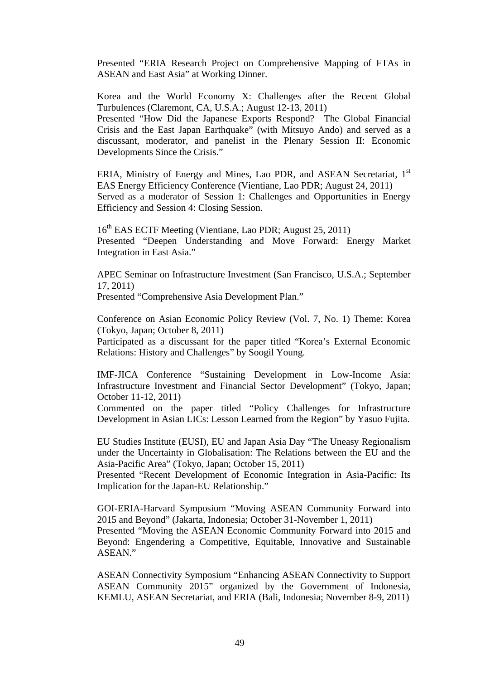Presented "ERIA Research Project on Comprehensive Mapping of FTAs in ASEAN and East Asia" at Working Dinner.

Korea and the World Economy X: Challenges after the Recent Global Turbulences (Claremont, CA, U.S.A.; August 12-13, 2011)

Presented "How Did the Japanese Exports Respond? The Global Financial Crisis and the East Japan Earthquake" (with Mitsuyo Ando) and served as a discussant, moderator, and panelist in the Plenary Session II: Economic Developments Since the Crisis."

ERIA, Ministry of Energy and Mines, Lao PDR, and ASEAN Secretariat, 1<sup>st</sup> EAS Energy Efficiency Conference (Vientiane, Lao PDR; August 24, 2011) Served as a moderator of Session 1: Challenges and Opportunities in Energy Efficiency and Session 4: Closing Session.

16<sup>th</sup> EAS ECTF Meeting (Vientiane, Lao PDR; August 25, 2011) Presented "Deepen Understanding and Move Forward: Energy Market Integration in East Asia."

APEC Seminar on Infrastructure Investment (San Francisco, U.S.A.; September 17, 2011)

Presented "Comprehensive Asia Development Plan."

Conference on Asian Economic Policy Review (Vol. 7, No. 1) Theme: Korea (Tokyo, Japan; October 8, 2011)

Participated as a discussant for the paper titled "Korea's External Economic Relations: History and Challenges" by Soogil Young.

IMF-JICA Conference "Sustaining Development in Low-Income Asia: Infrastructure Investment and Financial Sector Development" (Tokyo, Japan; October 11-12, 2011)

Commented on the paper titled "Policy Challenges for Infrastructure Development in Asian LICs: Lesson Learned from the Region" by Yasuo Fujita.

EU Studies Institute (EUSI), EU and Japan Asia Day "The Uneasy Regionalism under the Uncertainty in Globalisation: The Relations between the EU and the Asia-Pacific Area" (Tokyo, Japan; October 15, 2011)

Presented "Recent Development of Economic Integration in Asia-Pacific: Its Implication for the Japan-EU Relationship."

GOI-ERIA-Harvard Symposium "Moving ASEAN Community Forward into 2015 and Beyond" (Jakarta, Indonesia; October 31-November 1, 2011)

Presented "Moving the ASEAN Economic Community Forward into 2015 and Beyond: Engendering a Competitive, Equitable, Innovative and Sustainable ASEAN."

ASEAN Connectivity Symposium "Enhancing ASEAN Connectivity to Support ASEAN Community 2015" organized by the Government of Indonesia, KEMLU, ASEAN Secretariat, and ERIA (Bali, Indonesia; November 8-9, 2011)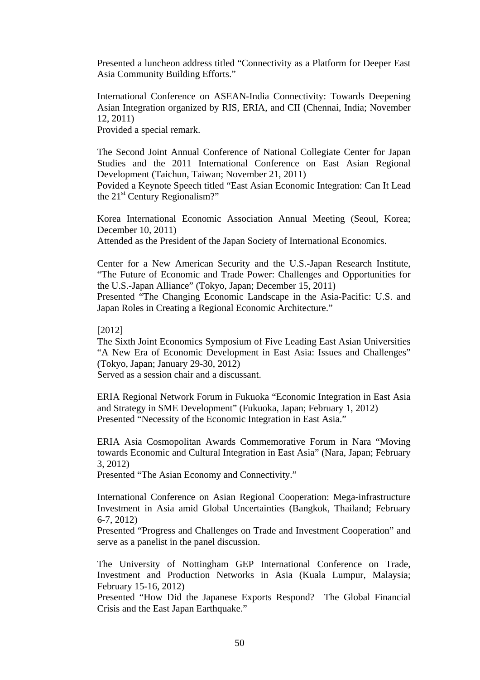Presented a luncheon address titled "Connectivity as a Platform for Deeper East Asia Community Building Efforts."

International Conference on ASEAN-India Connectivity: Towards Deepening Asian Integration organized by RIS, ERIA, and CII (Chennai, India; November 12, 2011)

Provided a special remark.

The Second Joint Annual Conference of National Collegiate Center for Japan Studies and the 2011 International Conference on East Asian Regional Development (Taichun, Taiwan; November 21, 2011)

Povided a Keynote Speech titled "East Asian Economic Integration: Can It Lead the  $21<sup>st</sup>$  Century Regionalism?"

Korea International Economic Association Annual Meeting (Seoul, Korea; December 10, 2011) Attended as the President of the Japan Society of International Economics.

Center for a New American Security and the U.S.-Japan Research Institute, "The Future of Economic and Trade Power: Challenges and Opportunities for the U.S.-Japan Alliance" (Tokyo, Japan; December 15, 2011)

Presented "The Changing Economic Landscape in the Asia-Pacific: U.S. and Japan Roles in Creating a Regional Economic Architecture."

[2012]

The Sixth Joint Economics Symposium of Five Leading East Asian Universities "A New Era of Economic Development in East Asia: Issues and Challenges" (Tokyo, Japan; January 29-30, 2012)

Served as a session chair and a discussant.

ERIA Regional Network Forum in Fukuoka "Economic Integration in East Asia and Strategy in SME Development" (Fukuoka, Japan; February 1, 2012) Presented "Necessity of the Economic Integration in East Asia."

ERIA Asia Cosmopolitan Awards Commemorative Forum in Nara "Moving towards Economic and Cultural Integration in East Asia" (Nara, Japan; February 3, 2012)

Presented "The Asian Economy and Connectivity."

International Conference on Asian Regional Cooperation: Mega-infrastructure Investment in Asia amid Global Uncertainties (Bangkok, Thailand; February 6-7, 2012)

Presented "Progress and Challenges on Trade and Investment Cooperation" and serve as a panelist in the panel discussion.

The University of Nottingham GEP International Conference on Trade, Investment and Production Networks in Asia (Kuala Lumpur, Malaysia; February 15-16, 2012)

Presented "How Did the Japanese Exports Respond? The Global Financial Crisis and the East Japan Earthquake."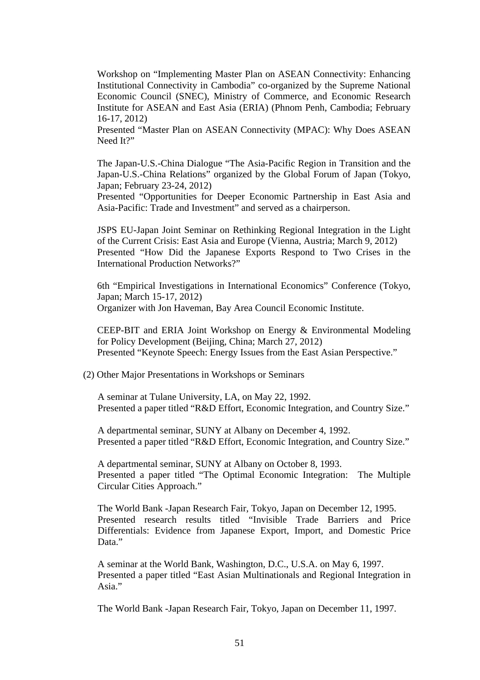Workshop on "Implementing Master Plan on ASEAN Connectivity: Enhancing Institutional Connectivity in Cambodia" co-organized by the Supreme National Economic Council (SNEC), Ministry of Commerce, and Economic Research Institute for ASEAN and East Asia (ERIA) (Phnom Penh, Cambodia; February 16-17, 2012)

Presented "Master Plan on ASEAN Connectivity (MPAC): Why Does ASEAN Need It?"

The Japan-U.S.-China Dialogue "The Asia-Pacific Region in Transition and the Japan-U.S.-China Relations" organized by the Global Forum of Japan (Tokyo, Japan; February 23-24, 2012)

Presented "Opportunities for Deeper Economic Partnership in East Asia and Asia-Pacific: Trade and Investment" and served as a chairperson.

JSPS EU-Japan Joint Seminar on Rethinking Regional Integration in the Light of the Current Crisis: East Asia and Europe (Vienna, Austria; March 9, 2012) Presented "How Did the Japanese Exports Respond to Two Crises in the International Production Networks?"

6th "Empirical Investigations in International Economics" Conference (Tokyo, Japan; March 15-17, 2012) Organizer with Jon Haveman, Bay Area Council Economic Institute.

CEEP-BIT and ERIA Joint Workshop on Energy & Environmental Modeling for Policy Development (Beijing, China; March 27, 2012) Presented "Keynote Speech: Energy Issues from the East Asian Perspective."

(2) Other Major Presentations in Workshops or Seminars

A seminar at Tulane University, LA, on May 22, 1992. Presented a paper titled "R&D Effort, Economic Integration, and Country Size."

A departmental seminar, SUNY at Albany on December 4, 1992. Presented a paper titled "R&D Effort, Economic Integration, and Country Size."

A departmental seminar, SUNY at Albany on October 8, 1993. Presented a paper titled "The Optimal Economic Integration: The Multiple Circular Cities Approach."

The World Bank -Japan Research Fair, Tokyo, Japan on December 12, 1995. Presented research results titled "Invisible Trade Barriers and Price Differentials: Evidence from Japanese Export, Import, and Domestic Price Data."

A seminar at the World Bank, Washington, D.C., U.S.A. on May 6, 1997. Presented a paper titled "East Asian Multinationals and Regional Integration in Asia."

The World Bank -Japan Research Fair, Tokyo, Japan on December 11, 1997.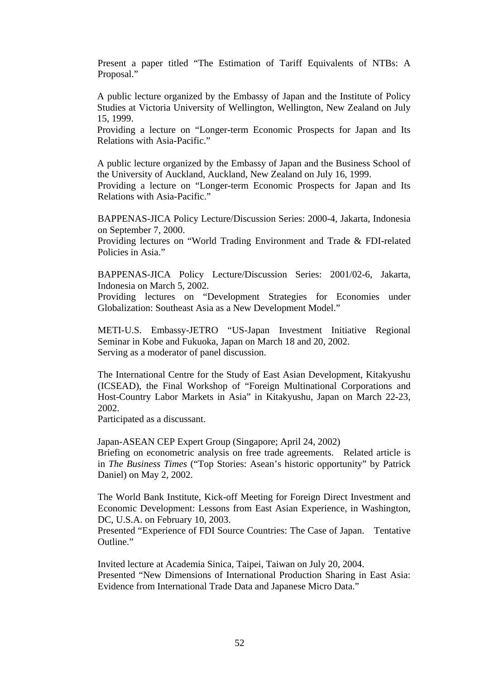Present a paper titled "The Estimation of Tariff Equivalents of NTBs: A Proposal."

A public lecture organized by the Embassy of Japan and the Institute of Policy Studies at Victoria University of Wellington, Wellington, New Zealand on July 15, 1999.

Providing a lecture on "Longer-term Economic Prospects for Japan and Its Relations with Asia-Pacific."

A public lecture organized by the Embassy of Japan and the Business School of the University of Auckland, Auckland, New Zealand on July 16, 1999.

Providing a lecture on "Longer-term Economic Prospects for Japan and Its Relations with Asia-Pacific."

BAPPENAS-JICA Policy Lecture/Discussion Series: 2000-4, Jakarta, Indonesia on September 7, 2000.

Providing lectures on "World Trading Environment and Trade & FDI-related Policies in Asia."

BAPPENAS-JICA Policy Lecture/Discussion Series: 2001/02-6, Jakarta, Indonesia on March 5, 2002.

Providing lectures on "Development Strategies for Economies under Globalization: Southeast Asia as a New Development Model."

METI-U.S. Embassy-JETRO "US-Japan Investment Initiative Regional Seminar in Kobe and Fukuoka, Japan on March 18 and 20, 2002. Serving as a moderator of panel discussion.

The International Centre for the Study of East Asian Development, Kitakyushu (ICSEAD), the Final Workshop of "Foreign Multinational Corporations and Host-Country Labor Markets in Asia" in Kitakyushu, Japan on March 22-23, 2002.

Participated as a discussant.

Japan-ASEAN CEP Expert Group (Singapore; April 24, 2002) Briefing on econometric analysis on free trade agreements. Related article is in *The Business Times* ("Top Stories: Asean's historic opportunity" by Patrick Daniel) on May 2, 2002.

The World Bank Institute, Kick-off Meeting for Foreign Direct Investment and Economic Development: Lessons from East Asian Experience, in Washington, DC, U.S.A. on February 10, 2003.

Presented "Experience of FDI Source Countries: The Case of Japan. Tentative Outline."

Invited lecture at Academia Sinica, Taipei, Taiwan on July 20, 2004. Presented "New Dimensions of International Production Sharing in East Asia: Evidence from International Trade Data and Japanese Micro Data."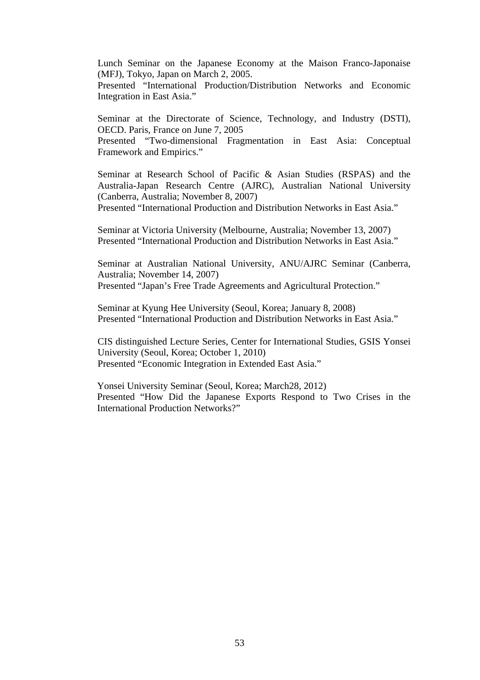Lunch Seminar on the Japanese Economy at the Maison Franco-Japonaise (MFJ), Tokyo, Japan on March 2, 2005.

Presented "International Production/Distribution Networks and Economic Integration in East Asia."

Seminar at the Directorate of Science, Technology, and Industry (DSTI), OECD. Paris, France on June 7, 2005 Presented "Two-dimensional Fragmentation in East Asia: Conceptual Framework and Empirics."

Seminar at Research School of Pacific & Asian Studies (RSPAS) and the Australia-Japan Research Centre (AJRC), Australian National University (Canberra, Australia; November 8, 2007) Presented "International Production and Distribution Networks in East Asia."

Seminar at Victoria University (Melbourne, Australia; November 13, 2007) Presented "International Production and Distribution Networks in East Asia."

Seminar at Australian National University, ANU/AJRC Seminar (Canberra, Australia; November 14, 2007) Presented "Japan's Free Trade Agreements and Agricultural Protection."

Seminar at Kyung Hee University (Seoul, Korea; January 8, 2008) Presented "International Production and Distribution Networks in East Asia."

CIS distinguished Lecture Series, Center for International Studies, GSIS Yonsei University (Seoul, Korea; October 1, 2010) Presented "Economic Integration in Extended East Asia."

Yonsei University Seminar (Seoul, Korea; March28, 2012) Presented "How Did the Japanese Exports Respond to Two Crises in the International Production Networks?"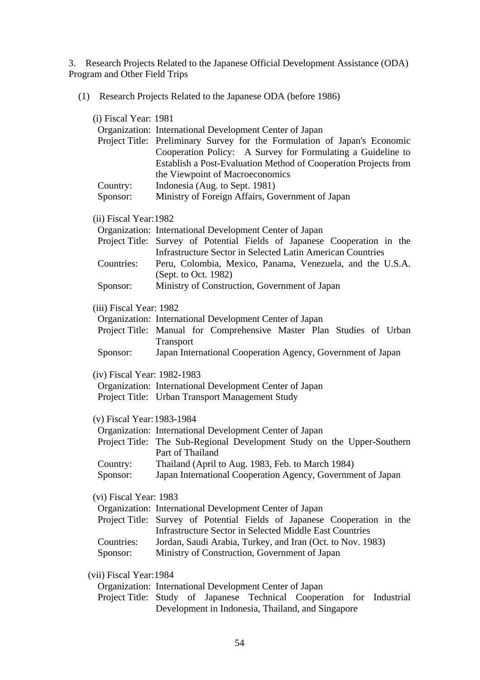3. Research Projects Related to the Japanese Official Development Assistance (ODA) Program and Other Field Trips

(1) Research Projects Related to the Japanese ODA (before 1986)

| (i) Fiscal Year: 1981       | Organization: International Development Center of Japan<br>Project Title: Preliminary Survey for the Formulation of Japan's Economic<br>Cooperation Policy: A Survey for Formulating a Guideline to<br>Establish a Post-Evaluation Method of Cooperation Projects from |
|-----------------------------|------------------------------------------------------------------------------------------------------------------------------------------------------------------------------------------------------------------------------------------------------------------------|
|                             | the Viewpoint of Macroeconomics                                                                                                                                                                                                                                        |
| Country:                    | Indonesia (Aug. to Sept. 1981)                                                                                                                                                                                                                                         |
| Sponsor:                    | Ministry of Foreign Affairs, Government of Japan                                                                                                                                                                                                                       |
| (ii) Fiscal Year: 1982      |                                                                                                                                                                                                                                                                        |
|                             | Organization: International Development Center of Japan                                                                                                                                                                                                                |
|                             | Project Title: Survey of Potential Fields of Japanese Cooperation in the<br><b>Infrastructure Sector in Selected Latin American Countries</b>                                                                                                                          |
| Countries:                  | Peru, Colombia, Mexico, Panama, Venezuela, and the U.S.A.<br>(Sept. to Oct. 1982)                                                                                                                                                                                      |
| Sponsor:                    | Ministry of Construction, Government of Japan                                                                                                                                                                                                                          |
| (iii) Fiscal Year: 1982     |                                                                                                                                                                                                                                                                        |
|                             | Organization: International Development Center of Japan                                                                                                                                                                                                                |
|                             | Project Title: Manual for Comprehensive Master Plan Studies of Urban                                                                                                                                                                                                   |
|                             | Transport                                                                                                                                                                                                                                                              |
| Sponsor:                    | Japan International Cooperation Agency, Government of Japan                                                                                                                                                                                                            |
| (iv) Fiscal Year: 1982-1983 |                                                                                                                                                                                                                                                                        |
|                             | Organization: International Development Center of Japan                                                                                                                                                                                                                |
|                             | Project Title: Urban Transport Management Study                                                                                                                                                                                                                        |
| (v) Fiscal Year: 1983-1984  |                                                                                                                                                                                                                                                                        |
|                             | Organization: International Development Center of Japan                                                                                                                                                                                                                |
|                             | Project Title: The Sub-Regional Development Study on the Upper-Southern<br>Part of Thailand                                                                                                                                                                            |
| Country:                    | Thailand (April to Aug. 1983, Feb. to March 1984)                                                                                                                                                                                                                      |
| Sponsor:                    | Japan International Cooperation Agency, Government of Japan                                                                                                                                                                                                            |
| (vi) Fiscal Year: 1983      |                                                                                                                                                                                                                                                                        |
|                             | Organization: International Development Center of Japan                                                                                                                                                                                                                |
|                             | Project Title: Survey of Potential Fields of Japanese Cooperation in the                                                                                                                                                                                               |
|                             | <b>Infrastructure Sector in Selected Middle East Countries</b>                                                                                                                                                                                                         |
| Countries:                  | Jordan, Saudi Arabia, Turkey, and Iran (Oct. to Nov. 1983)                                                                                                                                                                                                             |
| Sponsor:                    | Ministry of Construction, Government of Japan                                                                                                                                                                                                                          |
| (vii) Fiscal Year: 1984     |                                                                                                                                                                                                                                                                        |
|                             | Organization: International Development Center of Japan                                                                                                                                                                                                                |
|                             |                                                                                                                                                                                                                                                                        |

Project Title: Study of Japanese Technical Cooperation for Industrial Development in Indonesia, Thailand, and Singapore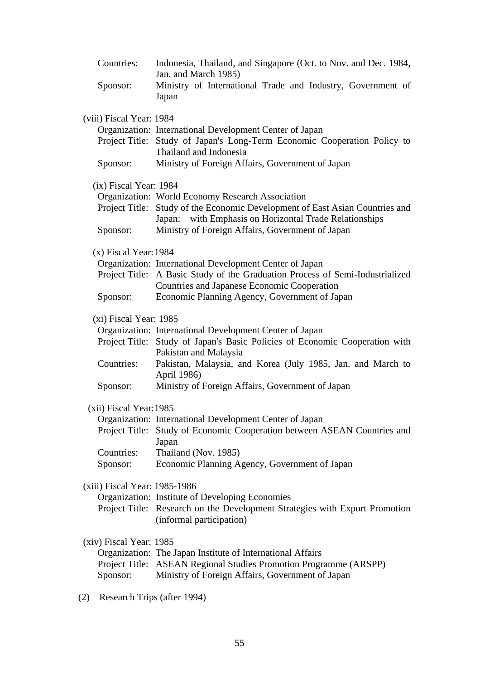| Countries:<br>Sponsor:                            | Indonesia, Thailand, and Singapore (Oct. to Nov. and Dec. 1984,<br>Jan. and March 1985)<br>Ministry of International Trade and Industry, Government of<br>Japan                                                                                                                                   |
|---------------------------------------------------|---------------------------------------------------------------------------------------------------------------------------------------------------------------------------------------------------------------------------------------------------------------------------------------------------|
| (viii) Fiscal Year: 1984                          | Organization: International Development Center of Japan<br>Project Title: Study of Japan's Long-Term Economic Cooperation Policy to<br>Thailand and Indonesia                                                                                                                                     |
| Sponsor:                                          | Ministry of Foreign Affairs, Government of Japan                                                                                                                                                                                                                                                  |
| (ix) Fiscal Year: 1984                            | Organization: World Economy Research Association<br>Project Title: Study of the Economic Development of East Asian Countries and<br>Japan: with Emphasis on Horizontal Trade Relationships                                                                                                        |
| Sponsor:                                          | Ministry of Foreign Affairs, Government of Japan                                                                                                                                                                                                                                                  |
| $(x)$ Fiscal Year: 1984                           | Organization: International Development Center of Japan<br>Project Title: A Basic Study of the Graduation Process of Semi-Industrialized<br>Countries and Japanese Economic Cooperation                                                                                                           |
| Sponsor:                                          | Economic Planning Agency, Government of Japan                                                                                                                                                                                                                                                     |
| (xi) Fiscal Year: 1985<br>Countries:<br>Sponsor:  | Organization: International Development Center of Japan<br>Project Title: Study of Japan's Basic Policies of Economic Cooperation with<br>Pakistan and Malaysia<br>Pakistan, Malaysia, and Korea (July 1985, Jan. and March to<br>April 1986)<br>Ministry of Foreign Affairs, Government of Japan |
| (xii) Fiscal Year: 1985<br>Countries:<br>Sponsor: | Organization: International Development Center of Japan<br>Project Title: Study of Economic Cooperation between ASEAN Countries and<br>Japan<br>Thailand (Nov. 1985)<br>Economic Planning Agency, Government of Japan                                                                             |
| (xiii) Fiscal Year: 1985-1986                     | Organization: Institute of Developing Economies<br>Project Title: Research on the Development Strategies with Export Promotion<br>(informal participation)                                                                                                                                        |
| (xiv) Fiscal Year: 1985<br>Sponsor:               | Organization: The Japan Institute of International Affairs<br>Project Title: ASEAN Regional Studies Promotion Programme (ARSPP)<br>Ministry of Foreign Affairs, Government of Japan                                                                                                               |
|                                                   |                                                                                                                                                                                                                                                                                                   |

(2) Research Trips (after 1994)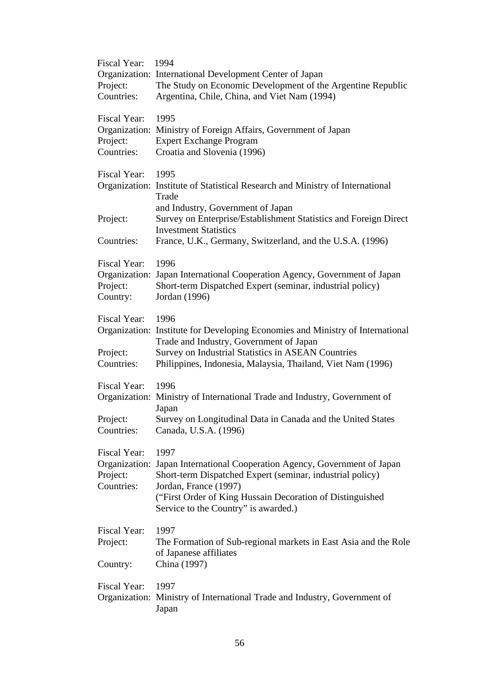| <b>Fiscal Year:</b> | 1994                                                                           |
|---------------------|--------------------------------------------------------------------------------|
|                     | Organization: International Development Center of Japan                        |
| Project:            | The Study on Economic Development of the Argentine Republic                    |
| Countries:          | Argentina, Chile, China, and Viet Nam (1994)                                   |
| Fiscal Year:        | 1995                                                                           |
|                     | Organization: Ministry of Foreign Affairs, Government of Japan                 |
| Project:            | <b>Expert Exchange Program</b>                                                 |
| Countries:          | Croatia and Slovenia (1996)                                                    |
|                     |                                                                                |
| Fiscal Year:        | 1995                                                                           |
|                     | Organization: Institute of Statistical Research and Ministry of International  |
|                     | Trade                                                                          |
|                     | and Industry, Government of Japan                                              |
| Project:            | Survey on Enterprise/Establishment Statistics and Foreign Direct               |
|                     | <b>Investment Statistics</b>                                                   |
| Countries:          | France, U.K., Germany, Switzerland, and the U.S.A. (1996)                      |
| Fiscal Year:        | 1996                                                                           |
|                     | Organization: Japan International Cooperation Agency, Government of Japan      |
| Project:            | Short-term Dispatched Expert (seminar, industrial policy)                      |
| Country:            | Jordan (1996)                                                                  |
|                     |                                                                                |
| Fiscal Year:        | 1996                                                                           |
|                     | Organization: Institute for Developing Economies and Ministry of International |
|                     | Trade and Industry, Government of Japan                                        |
| Project:            | <b>Survey on Industrial Statistics in ASEAN Countries</b>                      |
| Countries:          | Philippines, Indonesia, Malaysia, Thailand, Viet Nam (1996)                    |
| Fiscal Year:        | 1996                                                                           |
|                     | Organization: Ministry of International Trade and Industry, Government of      |
|                     | Japan                                                                          |
| Project:            | Survey on Longitudinal Data in Canada and the United States                    |
| Countries:          | Canada, U.S.A. (1996)                                                          |
|                     |                                                                                |
| <b>Fiscal Year:</b> | 1997                                                                           |
|                     | Organization: Japan International Cooperation Agency, Government of Japan      |
| Project:            | Short-term Dispatched Expert (seminar, industrial policy)                      |
| Countries:          | Jordan, France (1997)                                                          |
|                     | ("First Order of King Hussain Decoration of Distinguished                      |
|                     | Service to the Country" is awarded.)                                           |
| Fiscal Year:        | 1997                                                                           |
| Project:            | The Formation of Sub-regional markets in East Asia and the Role                |
|                     | of Japanese affiliates                                                         |
| Country:            | China (1997)                                                                   |
|                     |                                                                                |
| Fiscal Year:        | 1997                                                                           |
|                     | Organization: Ministry of International Trade and Industry, Government of      |
|                     | Japan                                                                          |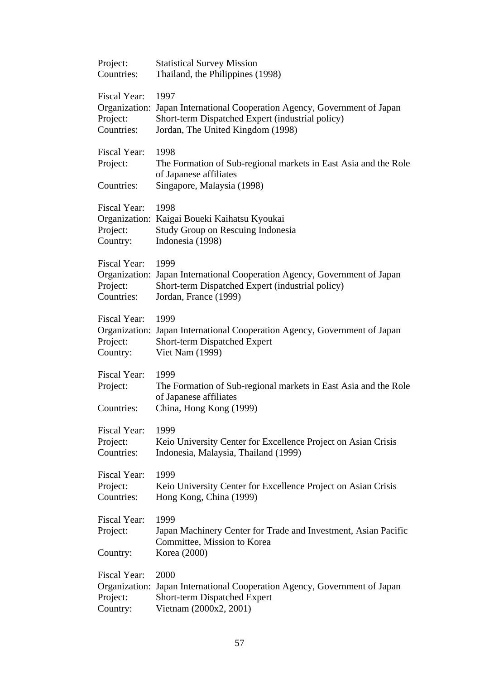| Project:                               | <b>Statistical Survey Mission</b>                                                                                               |
|----------------------------------------|---------------------------------------------------------------------------------------------------------------------------------|
| Countries:                             | Thailand, the Philippines (1998)                                                                                                |
| Fiscal Year:                           | 1997                                                                                                                            |
| Organization:                          | Japan International Cooperation Agency, Government of Japan                                                                     |
| Project:                               | Short-term Dispatched Expert (industrial policy)                                                                                |
| Countries:                             | Jordan, The United Kingdom (1998)                                                                                               |
| Fiscal Year:<br>Project:<br>Countries: | 1998<br>The Formation of Sub-regional markets in East Asia and the Role<br>of Japanese affiliates<br>Singapore, Malaysia (1998) |
| Fiscal Year:<br>Project:<br>Country:   | 1998<br>Organization: Kaigai Boueki Kaihatsu Kyoukai<br>Study Group on Rescuing Indonesia<br>Indonesia (1998)                   |
| Fiscal Year:                           | 1999                                                                                                                            |
| Organization:                          | Japan International Cooperation Agency, Government of Japan                                                                     |
| Project:                               | Short-term Dispatched Expert (industrial policy)                                                                                |
| Countries:                             | Jordan, France (1999)                                                                                                           |
| Fiscal Year:                           | 1999                                                                                                                            |
| Organization:                          | Japan International Cooperation Agency, Government of Japan                                                                     |
| Project:                               | Short-term Dispatched Expert                                                                                                    |
| Country:                               | <b>Viet Nam (1999)</b>                                                                                                          |
| Fiscal Year:<br>Project:<br>Countries: | 1999<br>The Formation of Sub-regional markets in East Asia and the Role<br>of Japanese affiliates<br>China, Hong Kong (1999)    |
| Fiscal Year:                           | 1999                                                                                                                            |
| Project:                               | Keio University Center for Excellence Project on Asian Crisis                                                                   |
| Countries:                             | Indonesia, Malaysia, Thailand (1999)                                                                                            |
| Fiscal Year:                           | 1999                                                                                                                            |
| Project:                               | Keio University Center for Excellence Project on Asian Crisis                                                                   |
| Countries:                             | Hong Kong, China (1999)                                                                                                         |
| Fiscal Year:<br>Project:<br>Country:   | 1999<br>Japan Machinery Center for Trade and Investment, Asian Pacific<br>Committee, Mission to Korea<br>Korea (2000)           |
| Fiscal Year:                           | 2000                                                                                                                            |
| Organization:                          | Japan International Cooperation Agency, Government of Japan                                                                     |
| Project:                               | Short-term Dispatched Expert                                                                                                    |
| Country:                               | Vietnam (2000x2, 2001)                                                                                                          |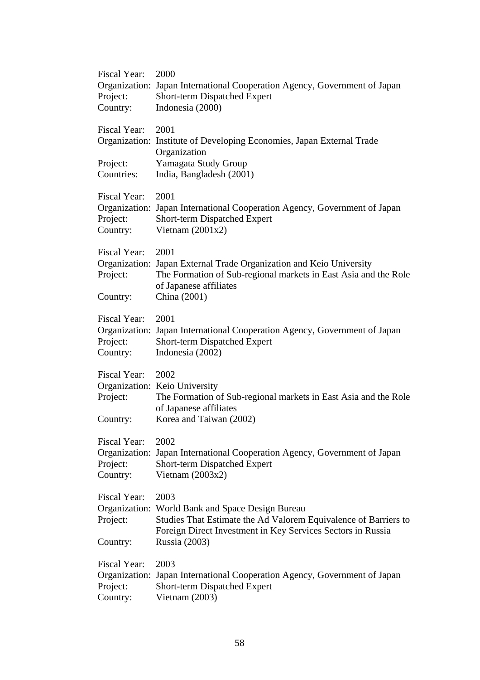| Fiscal Year: | 2000                                                                                      |
|--------------|-------------------------------------------------------------------------------------------|
|              | Organization: Japan International Cooperation Agency, Government of Japan                 |
| Project:     | Short-term Dispatched Expert                                                              |
| Country:     | Indonesia (2000)                                                                          |
|              |                                                                                           |
| Fiscal Year: | 2001                                                                                      |
|              | Organization: Institute of Developing Economies, Japan External Trade                     |
|              | Organization                                                                              |
| Project:     | Yamagata Study Group                                                                      |
| Countries:   | India, Bangladesh (2001)                                                                  |
|              |                                                                                           |
| Fiscal Year: | 2001                                                                                      |
|              | Organization: Japan International Cooperation Agency, Government of Japan                 |
| Project:     | Short-term Dispatched Expert                                                              |
| Country:     | Vietnam $(2001x2)$                                                                        |
|              |                                                                                           |
| Fiscal Year: | 2001                                                                                      |
|              | Organization: Japan External Trade Organization and Keio University                       |
| Project:     | The Formation of Sub-regional markets in East Asia and the Role<br>of Japanese affiliates |
| Country:     | China (2001)                                                                              |
|              |                                                                                           |
| Fiscal Year: | 2001                                                                                      |
|              | Organization: Japan International Cooperation Agency, Government of Japan                 |
| Project:     | Short-term Dispatched Expert                                                              |
| Country:     | Indonesia (2002)                                                                          |
|              |                                                                                           |
| Fiscal Year: | 2002                                                                                      |
|              | Organization: Keio University                                                             |
| Project:     | The Formation of Sub-regional markets in East Asia and the Role                           |
|              | of Japanese affiliates                                                                    |
| Country:     | Korea and Taiwan (2002)                                                                   |
|              |                                                                                           |
| Fiscal Year: | 2002                                                                                      |
|              | Organization: Japan International Cooperation Agency, Government of Japan                 |
| Project:     | <b>Short-term Dispatched Expert</b>                                                       |
| Country:     | Vietnam $(2003x2)$                                                                        |
|              |                                                                                           |
| Fiscal Year: | 2003                                                                                      |
|              | Organization: World Bank and Space Design Bureau                                          |
| Project:     | Studies That Estimate the Ad Valorem Equivalence of Barriers to                           |
|              | Foreign Direct Investment in Key Services Sectors in Russia<br>Russia (2003)              |
| Country:     |                                                                                           |
| Fiscal Year: | 2003                                                                                      |
|              | Organization: Japan International Cooperation Agency, Government of Japan                 |
| Project:     | Short-term Dispatched Expert                                                              |
| Country:     | Vietnam (2003)                                                                            |
|              |                                                                                           |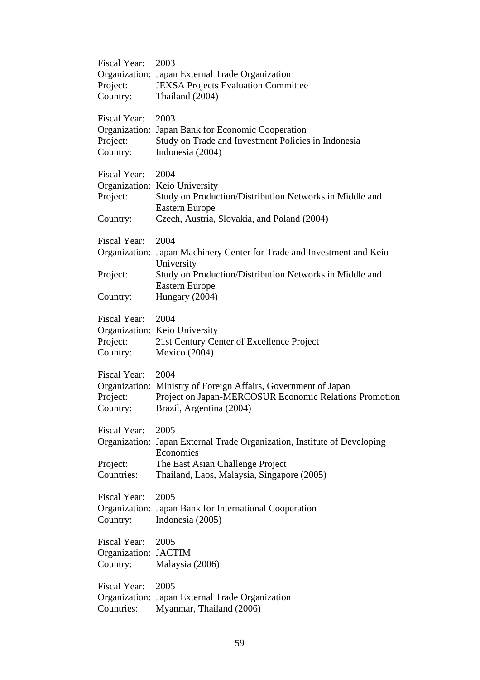| Fiscal Year:<br>Project:<br>Country:             | 2003<br>Organization: Japan External Trade Organization<br><b>JEXSA Projects Evaluation Committee</b><br>Thailand (2004)                                                        |
|--------------------------------------------------|---------------------------------------------------------------------------------------------------------------------------------------------------------------------------------|
| Fiscal Year:<br>Project:<br>Country:             | 2003<br>Organization: Japan Bank for Economic Cooperation<br>Study on Trade and Investment Policies in Indonesia<br>Indonesia (2004)                                            |
| Fiscal Year:<br>Project:<br>Country:             | 2004<br>Organization: Keio University<br>Study on Production/Distribution Networks in Middle and<br><b>Eastern Europe</b><br>Czech, Austria, Slovakia, and Poland (2004)        |
| Fiscal Year:                                     | 2004<br>Organization: Japan Machinery Center for Trade and Investment and Keio<br>University                                                                                    |
| Project:                                         | Study on Production/Distribution Networks in Middle and<br><b>Eastern Europe</b>                                                                                                |
| Country:                                         | Hungary (2004)                                                                                                                                                                  |
| Fiscal Year:<br>Project:<br>Country:             | 2004<br>Organization: Keio University<br>21st Century Center of Excellence Project<br>Mexico (2004)                                                                             |
| Fiscal Year:<br>Project:<br>Country:             | 2004<br>Organization: Ministry of Foreign Affairs, Government of Japan<br>Project on Japan-MERCOSUR Economic Relations Promotion<br>Brazil, Argentina (2004)                    |
| Fiscal Year:<br>Project:<br>Countries:           | 2005<br>Organization: Japan External Trade Organization, Institute of Developing<br>Economies<br>The East Asian Challenge Project<br>Thailand, Laos, Malaysia, Singapore (2005) |
| Fiscal Year:<br>Country:                         | 2005<br>Organization: Japan Bank for International Cooperation<br>Indonesia (2005)                                                                                              |
| Fiscal Year:<br>Organization: JACTIM<br>Country: | 2005<br>Malaysia (2006)                                                                                                                                                         |
| Fiscal Year:<br>Countries:                       | 2005<br>Organization: Japan External Trade Organization<br>Myanmar, Thailand (2006)                                                                                             |